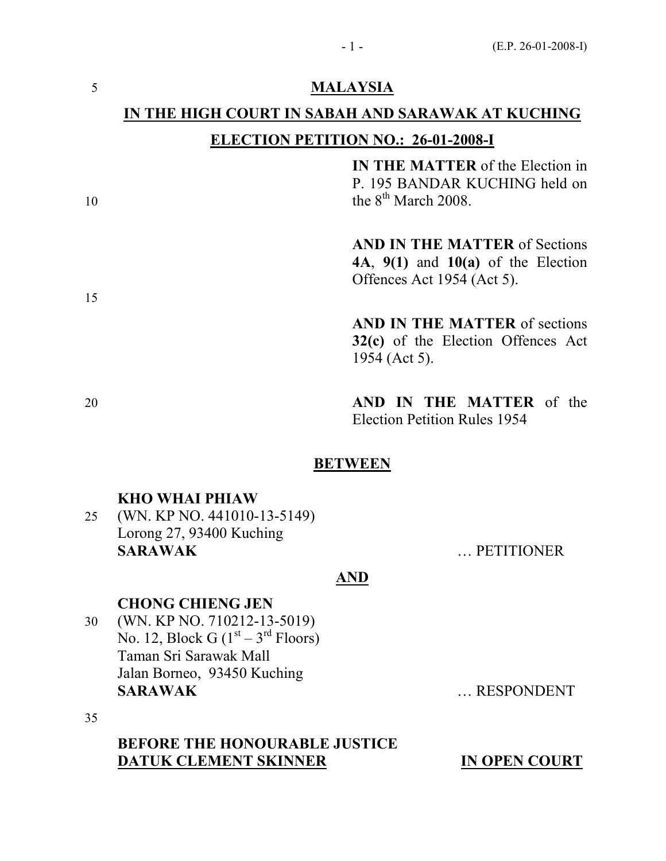## 5 MALAYSIA

# IN THE HIGH COURT IN SABAH AND SARAWAK AT KUCHING

# ELECTION PETITION NO.: 26-01-2008-I

IN THE MATTER of the Election in P. 195 BANDAR KUCHING held on  $t^{\text{th}}$  March 2008.

> AND IN THE MATTER of Sections 4A,  $9(1)$  and  $10(a)$  of the Election Offences Act 1954 (Act 5).

> AND IN THE MATTER of sections 32(c) of the Election Offences Act 1954 (Act 5).

20 **AND IN THE MATTER** of the Election Petition Rules 1954

### **BETWEEN**

### KHO WHAI PHIAW

25 (WN. KP NO. 441010-13-5149) Lorong 27, 93400 Kuching SARAWAK ... PETITIONER

#### AND

#### CHONG CHIENG JEN

30 (WN. KP NO. 710212-13-5019) No. 12, Block G  $(1<sup>st</sup> – 3<sup>rd</sup> Floors)$ Taman Sri Sarawak Mall Jalan Borneo, 93450 Kuching SARAWAK ... RESPONDENT

35

# BEFORE THE HONOURABLE JUSTICE DATUK CLEMENT SKINNER IN OPEN COURT

15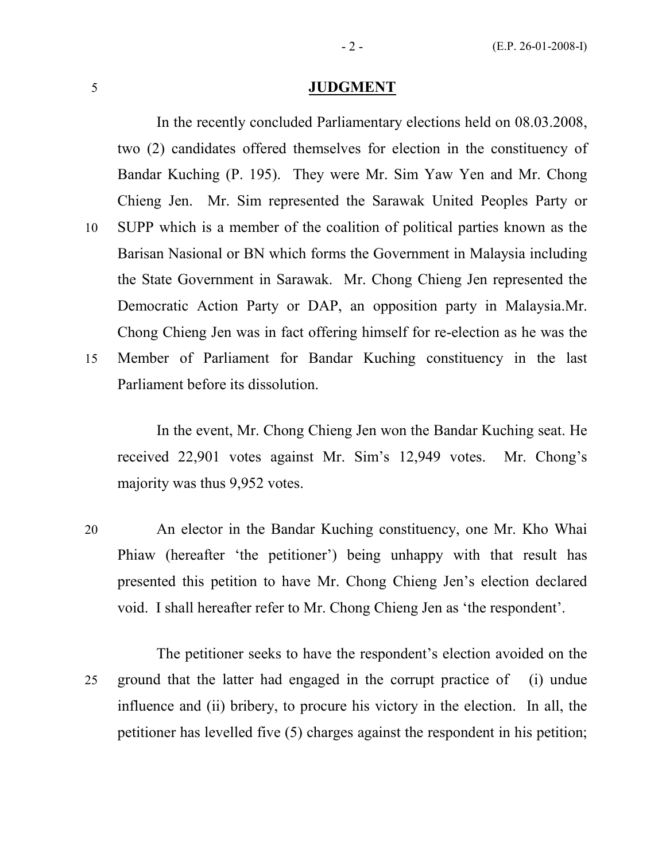#### 5 JUDGMENT

 In the recently concluded Parliamentary elections held on 08.03.2008, two (2) candidates offered themselves for election in the constituency of Bandar Kuching (P. 195). They were Mr. Sim Yaw Yen and Mr. Chong Chieng Jen. Mr. Sim represented the Sarawak United Peoples Party or 10 SUPP which is a member of the coalition of political parties known as the Barisan Nasional or BN which forms the Government in Malaysia including the State Government in Sarawak. Mr. Chong Chieng Jen represented the Democratic Action Party or DAP, an opposition party in Malaysia.Mr. Chong Chieng Jen was in fact offering himself for re-election as he was the 15 Member of Parliament for Bandar Kuching constituency in the last

Parliament before its dissolution.

 In the event, Mr. Chong Chieng Jen won the Bandar Kuching seat. He received 22,901 votes against Mr. Sim's 12,949 votes. Mr. Chong's majority was thus 9,952 votes.

20 An elector in the Bandar Kuching constituency, one Mr. Kho Whai Phiaw (hereafter 'the petitioner') being unhappy with that result has presented this petition to have Mr. Chong Chieng Jen's election declared void. I shall hereafter refer to Mr. Chong Chieng Jen as 'the respondent'.

 The petitioner seeks to have the respondent's election avoided on the 25 ground that the latter had engaged in the corrupt practice of (i) undue influence and (ii) bribery, to procure his victory in the election. In all, the petitioner has levelled five (5) charges against the respondent in his petition;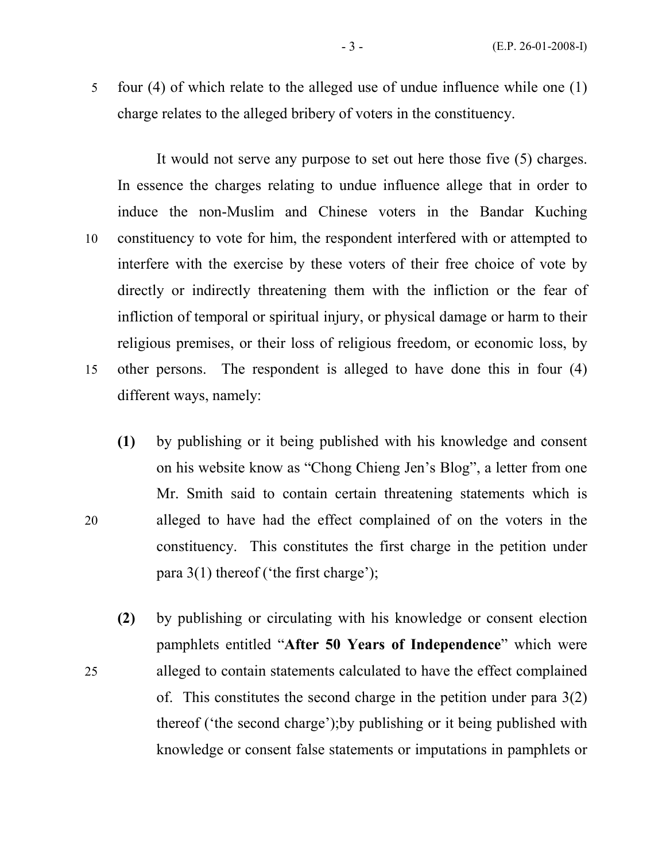5 four (4) of which relate to the alleged use of undue influence while one (1) charge relates to the alleged bribery of voters in the constituency.

 It would not serve any purpose to set out here those five (5) charges. In essence the charges relating to undue influence allege that in order to induce the non-Muslim and Chinese voters in the Bandar Kuching 10 constituency to vote for him, the respondent interfered with or attempted to interfere with the exercise by these voters of their free choice of vote by directly or indirectly threatening them with the infliction or the fear of infliction of temporal or spiritual injury, or physical damage or harm to their religious premises, or their loss of religious freedom, or economic loss, by 15 other persons. The respondent is alleged to have done this in four (4) different ways, namely:

- (1) by publishing or it being published with his knowledge and consent on his website know as "Chong Chieng Jen's Blog", a letter from one Mr. Smith said to contain certain threatening statements which is 20 alleged to have had the effect complained of on the voters in the constituency. This constitutes the first charge in the petition under para 3(1) thereof ('the first charge');
- (2) by publishing or circulating with his knowledge or consent election pamphlets entitled "After 50 Years of Independence" which were 25 alleged to contain statements calculated to have the effect complained of. This constitutes the second charge in the petition under para 3(2) thereof ('the second charge');by publishing or it being published with knowledge or consent false statements or imputations in pamphlets or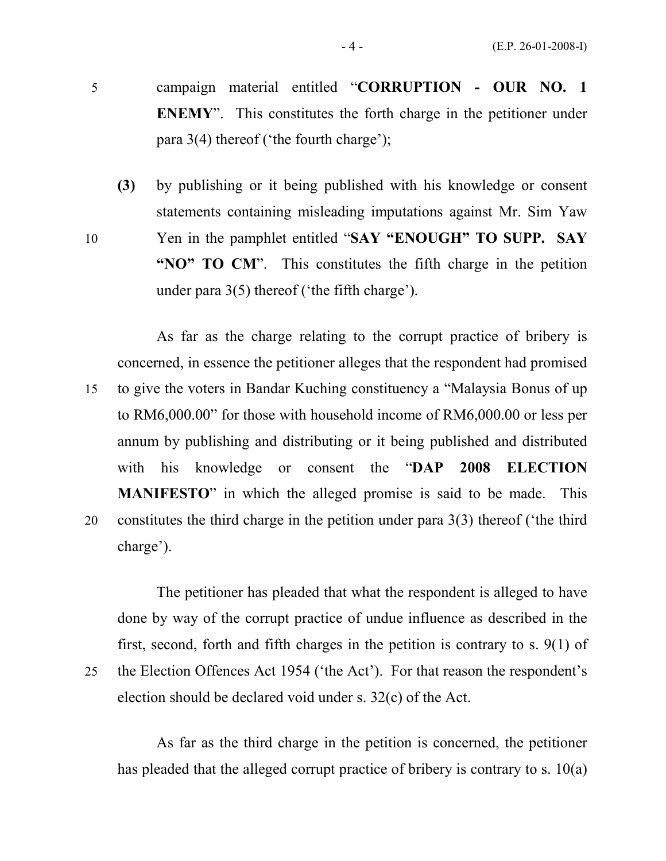- 5 campaign material entitled "CORRUPTION OUR NO. 1 ENEMY". This constitutes the forth charge in the petitioner under para 3(4) thereof ('the fourth charge');
- (3) by publishing or it being published with his knowledge or consent statements containing misleading imputations against Mr. Sim Yaw 10 Yen in the pamphlet entitled "SAY "ENOUGH" TO SUPP. SAY "NO" TO CM". This constitutes the fifth charge in the petition under para 3(5) thereof ('the fifth charge').

 As far as the charge relating to the corrupt practice of bribery is concerned, in essence the petitioner alleges that the respondent had promised 15 to give the voters in Bandar Kuching constituency a "Malaysia Bonus of up to RM6,000.00" for those with household income of RM6,000.00 or less per annum by publishing and distributing or it being published and distributed with his knowledge or consent the "DAP 2008 ELECTION MANIFESTO" in which the alleged promise is said to be made. This 20 constitutes the third charge in the petition under para 3(3) thereof ('the third charge').

 The petitioner has pleaded that what the respondent is alleged to have done by way of the corrupt practice of undue influence as described in the first, second, forth and fifth charges in the petition is contrary to s. 9(1) of 25 the Election Offences Act 1954 ('the Act'). For that reason the respondent's

election should be declared void under s. 32(c) of the Act.

 As far as the third charge in the petition is concerned, the petitioner has pleaded that the alleged corrupt practice of bribery is contrary to s. 10(a)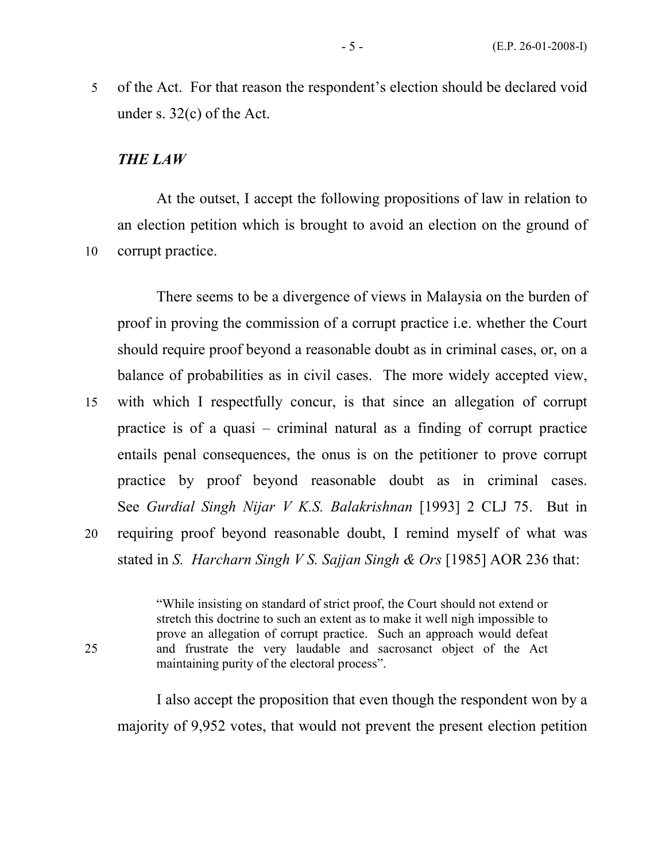5 of the Act. For that reason the respondent's election should be declared void under s. 32(c) of the Act.

#### THE LAW

 At the outset, I accept the following propositions of law in relation to an election petition which is brought to avoid an election on the ground of 10 corrupt practice.

 There seems to be a divergence of views in Malaysia on the burden of proof in proving the commission of a corrupt practice i.e. whether the Court should require proof beyond a reasonable doubt as in criminal cases, or, on a balance of probabilities as in civil cases. The more widely accepted view, 15 with which I respectfully concur, is that since an allegation of corrupt

practice is of a quasi – criminal natural as a finding of corrupt practice entails penal consequences, the onus is on the petitioner to prove corrupt practice by proof beyond reasonable doubt as in criminal cases. See Gurdial Singh Nijar V K.S. Balakrishnan [1993] 2 CLJ 75. But in 20 requiring proof beyond reasonable doubt, I remind myself of what was stated in S. Harcharn Singh V S. Sajjan Singh & Ors [1985] AOR 236 that:

"While insisting on standard of strict proof, the Court should not extend or stretch this doctrine to such an extent as to make it well nigh impossible to prove an allegation of corrupt practice. Such an approach would defeat 25 and frustrate the very laudable and sacrosanct object of the Act maintaining purity of the electoral process".

 I also accept the proposition that even though the respondent won by a majority of 9,952 votes, that would not prevent the present election petition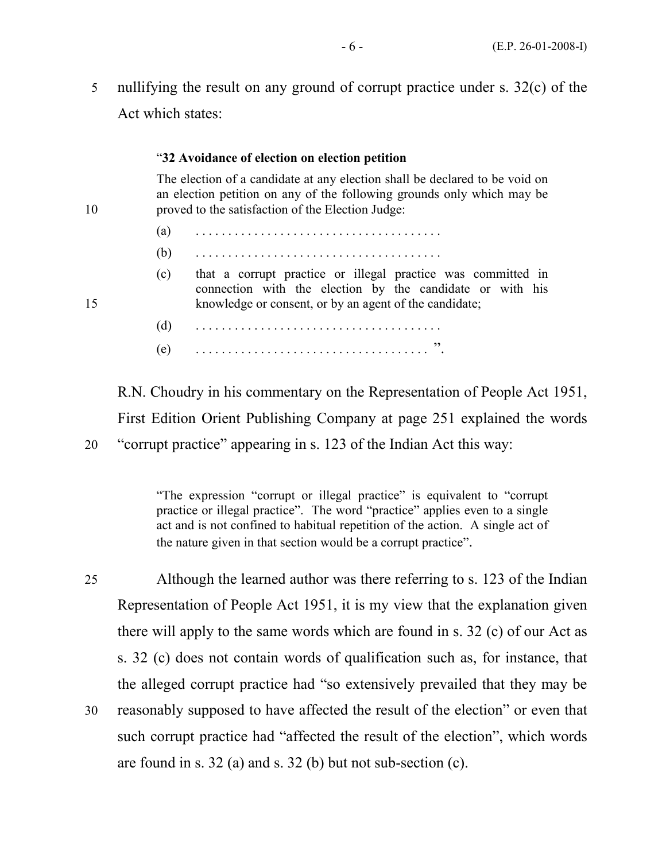5 nullifying the result on any ground of corrupt practice under s. 32(c) of the Act which states:

#### "32 Avoidance of election on election petition

 The election of a candidate at any election shall be declared to be void on an election petition on any of the following grounds only which may be 10 proved to the satisfaction of the Election Judge:

- (a) . . . . . . . . . . . . . . . . . . . . . . . . . . . . . . . . . . . . . .
- (b) . . . . . . . . . . . . . . . . . . . . . . . . . . . . . . . . . . . . . .
- (c) that a corrupt practice or illegal practice was committed in connection with the election by the candidate or with his 15 knowledge or consent, or by an agent of the candidate;
	- (d) . . . . . . . . . . . . . . . . . . . . . . . . . . . . . . . . . . . . . . (e) . . . . . . . . . . . . . . . . . . . . . . . . . . . . . . . . . . . . ".

R.N. Choudry in his commentary on the Representation of People Act 1951, First Edition Orient Publishing Company at page 251 explained the words 20 "corrupt practice" appearing in s. 123 of the Indian Act this way:

> "The expression "corrupt or illegal practice" is equivalent to "corrupt practice or illegal practice". The word "practice" applies even to a single act and is not confined to habitual repetition of the action. A single act of the nature given in that section would be a corrupt practice".

25 Although the learned author was there referring to s. 123 of the Indian Representation of People Act 1951, it is my view that the explanation given there will apply to the same words which are found in s. 32 (c) of our Act as s. 32 (c) does not contain words of qualification such as, for instance, that the alleged corrupt practice had "so extensively prevailed that they may be 30 reasonably supposed to have affected the result of the election" or even that such corrupt practice had "affected the result of the election", which words are found in s. 32 (a) and s. 32 (b) but not sub-section (c).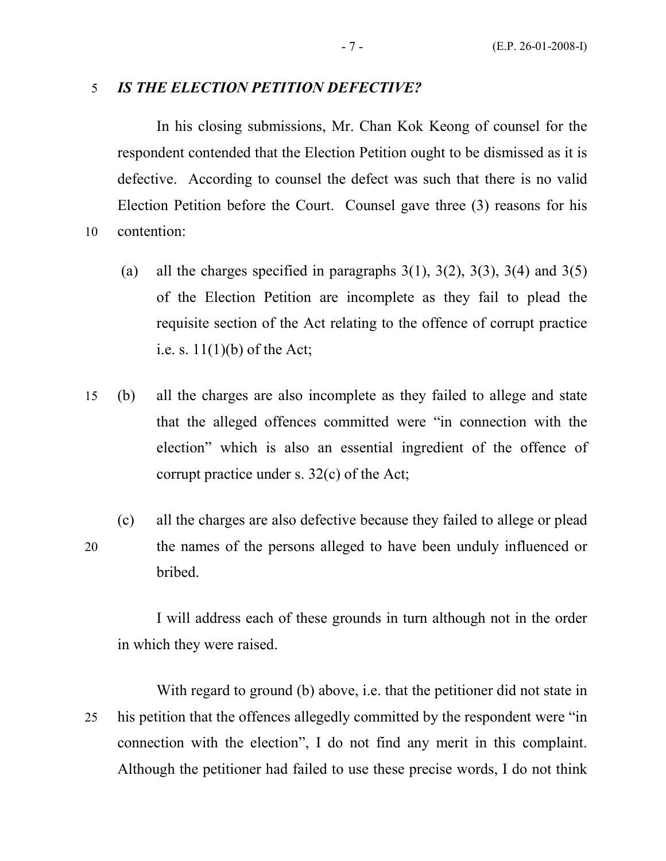#### 5 IS THE ELECTION PETITION DEFECTIVE?

In his closing submissions, Mr. Chan Kok Keong of counsel for the respondent contended that the Election Petition ought to be dismissed as it is defective. According to counsel the defect was such that there is no valid Election Petition before the Court. Counsel gave three (3) reasons for his 10 contention:

- (a) all the charges specified in paragraphs  $3(1)$ ,  $3(2)$ ,  $3(3)$ ,  $3(4)$  and  $3(5)$ of the Election Petition are incomplete as they fail to plead the requisite section of the Act relating to the offence of corrupt practice i.e. s.  $11(1)(b)$  of the Act;
- 15 (b) all the charges are also incomplete as they failed to allege and state that the alleged offences committed were "in connection with the election" which is also an essential ingredient of the offence of corrupt practice under s. 32(c) of the Act;
- (c) all the charges are also defective because they failed to allege or plead 20 the names of the persons alleged to have been unduly influenced or bribed.

 I will address each of these grounds in turn although not in the order in which they were raised.

 With regard to ground (b) above, i.e. that the petitioner did not state in 25 his petition that the offences allegedly committed by the respondent were "in connection with the election", I do not find any merit in this complaint. Although the petitioner had failed to use these precise words, I do not think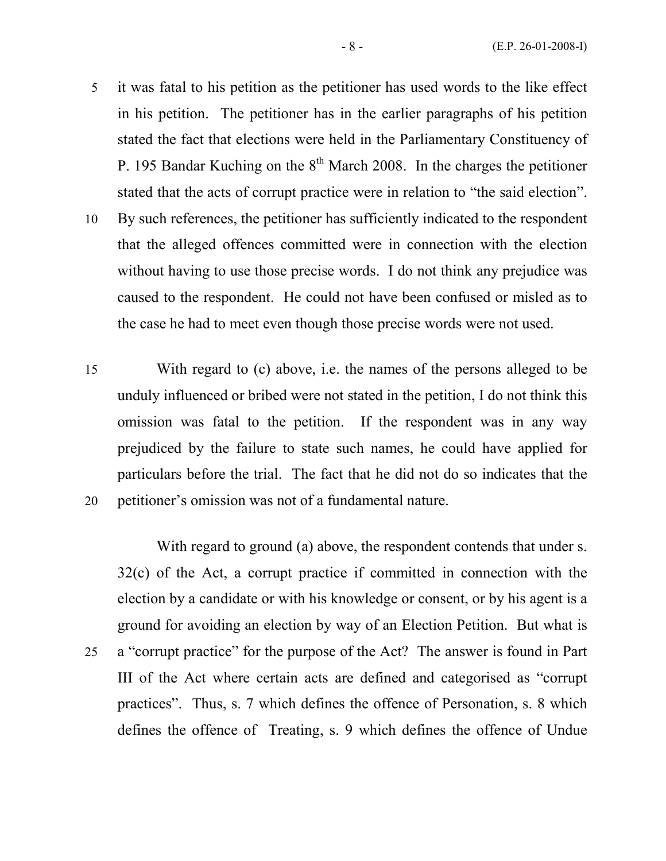- 5 it was fatal to his petition as the petitioner has used words to the like effect in his petition. The petitioner has in the earlier paragraphs of his petition stated the fact that elections were held in the Parliamentary Constituency of P. 195 Bandar Kuching on the  $8<sup>th</sup>$  March 2008. In the charges the petitioner stated that the acts of corrupt practice were in relation to "the said election".
- 10 By such references, the petitioner has sufficiently indicated to the respondent that the alleged offences committed were in connection with the election without having to use those precise words. I do not think any prejudice was caused to the respondent. He could not have been confused or misled as to the case he had to meet even though those precise words were not used.
- 15 With regard to (c) above, i.e. the names of the persons alleged to be unduly influenced or bribed were not stated in the petition, I do not think this omission was fatal to the petition. If the respondent was in any way prejudiced by the failure to state such names, he could have applied for particulars before the trial. The fact that he did not do so indicates that the 20 petitioner's omission was not of a fundamental nature.

With regard to ground (a) above, the respondent contends that under s. 32(c) of the Act, a corrupt practice if committed in connection with the election by a candidate or with his knowledge or consent, or by his agent is a ground for avoiding an election by way of an Election Petition. But what is 25 a "corrupt practice" for the purpose of the Act? The answer is found in Part III of the Act where certain acts are defined and categorised as "corrupt practices". Thus, s. 7 which defines the offence of Personation, s. 8 which defines the offence of Treating, s. 9 which defines the offence of Undue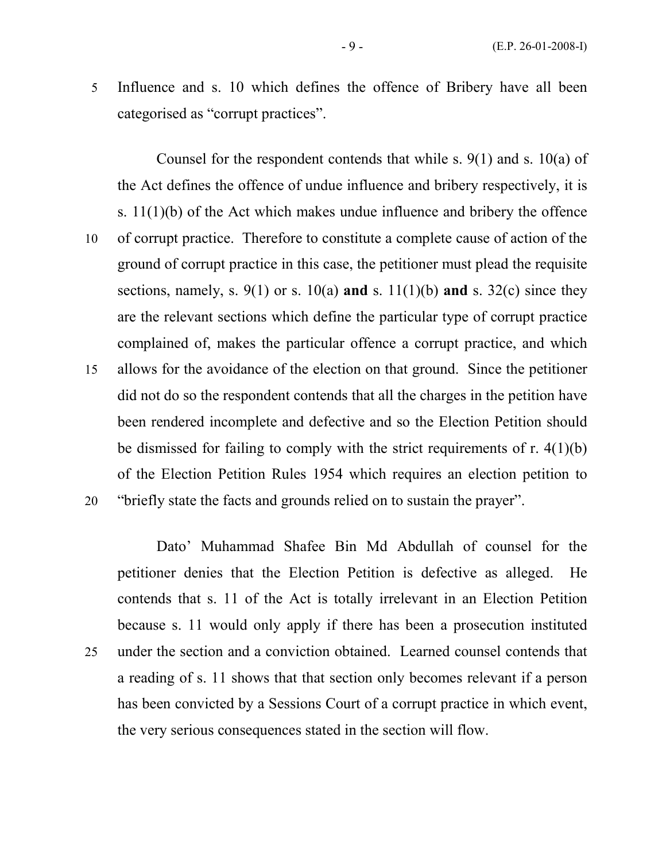5 Influence and s. 10 which defines the offence of Bribery have all been categorised as "corrupt practices".

 Counsel for the respondent contends that while s. 9(1) and s. 10(a) of the Act defines the offence of undue influence and bribery respectively, it is s. 11(1)(b) of the Act which makes undue influence and bribery the offence 10 of corrupt practice. Therefore to constitute a complete cause of action of the ground of corrupt practice in this case, the petitioner must plead the requisite sections, namely, s.  $9(1)$  or s.  $10(a)$  and s.  $11(1)(b)$  and s.  $32(c)$  since they are the relevant sections which define the particular type of corrupt practice complained of, makes the particular offence a corrupt practice, and which 15 allows for the avoidance of the election on that ground. Since the petitioner did not do so the respondent contends that all the charges in the petition have been rendered incomplete and defective and so the Election Petition should be dismissed for failing to comply with the strict requirements of r. 4(1)(b) of the Election Petition Rules 1954 which requires an election petition to 20 "briefly state the facts and grounds relied on to sustain the prayer".

Dato' Muhammad Shafee Bin Md Abdullah of counsel for the petitioner denies that the Election Petition is defective as alleged. He contends that s. 11 of the Act is totally irrelevant in an Election Petition because s. 11 would only apply if there has been a prosecution instituted 25 under the section and a conviction obtained. Learned counsel contends that a reading of s. 11 shows that that section only becomes relevant if a person has been convicted by a Sessions Court of a corrupt practice in which event, the very serious consequences stated in the section will flow.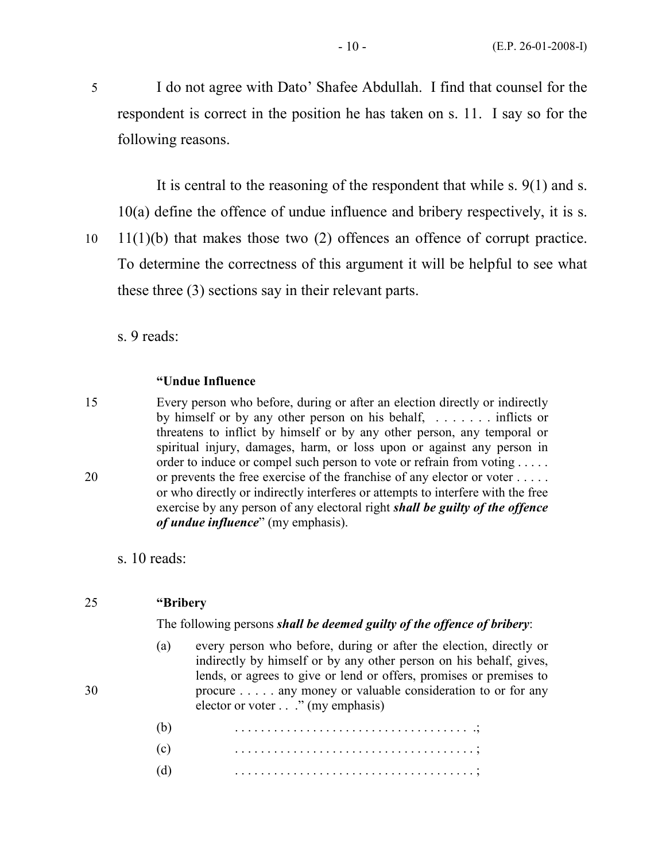5 I do not agree with Dato' Shafee Abdullah. I find that counsel for the respondent is correct in the position he has taken on s. 11. I say so for the following reasons.

It is central to the reasoning of the respondent that while s. 9(1) and s. 10(a) define the offence of undue influence and bribery respectively, it is s.

10 11(1)(b) that makes those two (2) offences an offence of corrupt practice. To determine the correctness of this argument it will be helpful to see what these three (3) sections say in their relevant parts.

s. 9 reads:

#### "Undue Influence

15 Every person who before, during or after an election directly or indirectly by himself or by any other person on his behalf, . . . . . . . inflicts or threatens to inflict by himself or by any other person, any temporal or spiritual injury, damages, harm, or loss upon or against any person in order to induce or compel such person to vote or refrain from voting . . . . . 20 or prevents the free exercise of the franchise of any elector or voter . . . . . or who directly or indirectly interferes or attempts to interfere with the free exercise by any person of any electoral right shall be guilty of the offence of undue influence" (my emphasis).

s. 10 reads:

| 25 | "Bribery" |
|----|-----------|
|----|-----------|

#### The following persons shall be deemed guilty of the offence of bribery:

- (a) every person who before, during or after the election, directly or indirectly by himself or by any other person on his behalf, gives, lends, or agrees to give or lend or offers, promises or premises to 30 procure . . . . . any money or valuable consideration to or for any elector or voter . . ." (my emphasis)
	- (b) . . . . . . . . . . . . . . . . . . . . . . . . . . . . . . . . . . . . .;
	- (c) . . . . . . . . . . . . . . . . . . . . . . . . . . . . . . . . . . . . . ; (d) . . . . . . . . . . . . . . . . . . . . . . . . . . . . . . . . . . . . . ;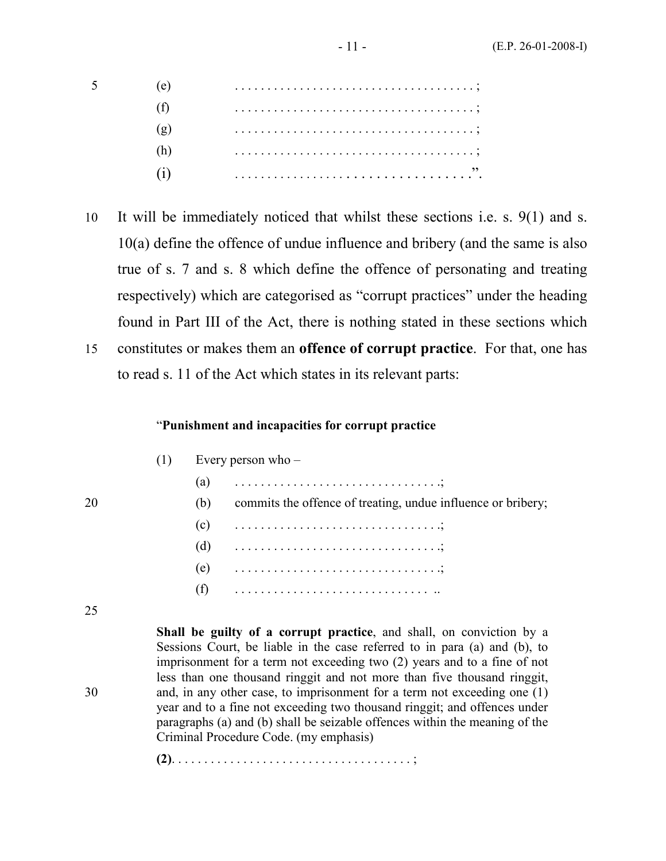10 It will be immediately noticed that whilst these sections i.e. s. 9(1) and s. 10(a) define the offence of undue influence and bribery (and the same is also true of s. 7 and s. 8 which define the offence of personating and treating respectively) which are categorised as "corrupt practices" under the heading found in Part III of the Act, there is nothing stated in these sections which 15 constitutes or makes them an offence of corrupt practice. For that, one has to read s. 11 of the Act which states in its relevant parts:

#### "Punishment and incapacities for corrupt practice

| (1) | Every person who $-$ |  |
|-----|----------------------|--|
|-----|----------------------|--|

|     | (a) $\ldots \ldots \ldots \ldots \ldots \ldots \ldots \ldots \ldots \ldots \ldots$ |
|-----|------------------------------------------------------------------------------------|
| (b) | commits the offence of treating, undue influence or bribery;                       |
|     |                                                                                    |
|     | (d) $\ldots \ldots \ldots \ldots \ldots \ldots \ldots \ldots \ldots \ldots \ldots$ |
|     | (e) $\ldots \ldots \ldots \ldots \ldots \ldots \ldots \ldots \ldots \ldots$        |
| (f) |                                                                                    |

25

 Shall be guilty of a corrupt practice, and shall, on conviction by a Sessions Court, be liable in the case referred to in para (a) and (b), to imprisonment for a term not exceeding two (2) years and to a fine of not less than one thousand ringgit and not more than five thousand ringgit, 30 and, in any other case, to imprisonment for a term not exceeding one (1) year and to a fine not exceeding two thousand ringgit; and offences under paragraphs (a) and (b) shall be seizable offences within the meaning of the Criminal Procedure Code. (my emphasis)

(2). . . . . . . . . . . . . . . . . . . . . . . . . . . . . . . . . . . . . ;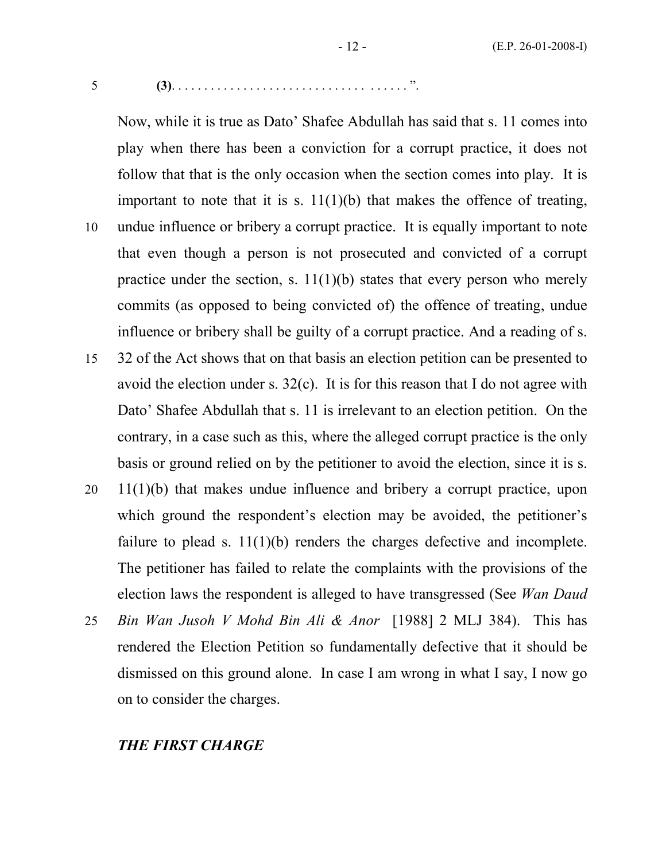$5 \qquad \qquad (3) \qquad \qquad (3) \qquad \qquad (3) \qquad \qquad (3) \qquad \qquad (3) \qquad \qquad (3) \qquad \qquad (3) \qquad \qquad (3) \qquad \qquad (3) \qquad \qquad (3) \qquad \qquad (3) \qquad \qquad (3) \qquad \qquad (3) \qquad \qquad (3) \qquad \qquad (3) \qquad \qquad (3) \qquad \qquad (3) \qquad \qquad (3) \qquad \qquad (3) \qquad \qquad (3) \qquad \qquad (3) \qquad \qquad (3) \qquad \qquad (3) \qquad \qquad (3) \qquad$ 

Now, while it is true as Dato' Shafee Abdullah has said that s. 11 comes into play when there has been a conviction for a corrupt practice, it does not follow that that is the only occasion when the section comes into play. It is important to note that it is s.  $11(1)(b)$  that makes the offence of treating, 10 undue influence or bribery a corrupt practice. It is equally important to note that even though a person is not prosecuted and convicted of a corrupt practice under the section, s.  $11(1)(b)$  states that every person who merely commits (as opposed to being convicted of) the offence of treating, undue influence or bribery shall be guilty of a corrupt practice. And a reading of s. 15 32 of the Act shows that on that basis an election petition can be presented to avoid the election under s. 32(c). It is for this reason that I do not agree with

Dato' Shafee Abdullah that s. 11 is irrelevant to an election petition. On the contrary, in a case such as this, where the alleged corrupt practice is the only basis or ground relied on by the petitioner to avoid the election, since it is s.

- 20 11(1)(b) that makes undue influence and bribery a corrupt practice, upon which ground the respondent's election may be avoided, the petitioner's failure to plead s.  $11(1)(b)$  renders the charges defective and incomplete. The petitioner has failed to relate the complaints with the provisions of the election laws the respondent is alleged to have transgressed (See Wan Daud
- 25 Bin Wan Jusoh V Mohd Bin Ali & Anor [1988] 2 MLJ 384). This has rendered the Election Petition so fundamentally defective that it should be dismissed on this ground alone. In case I am wrong in what I say, I now go on to consider the charges.

### THE FIRST CHARGE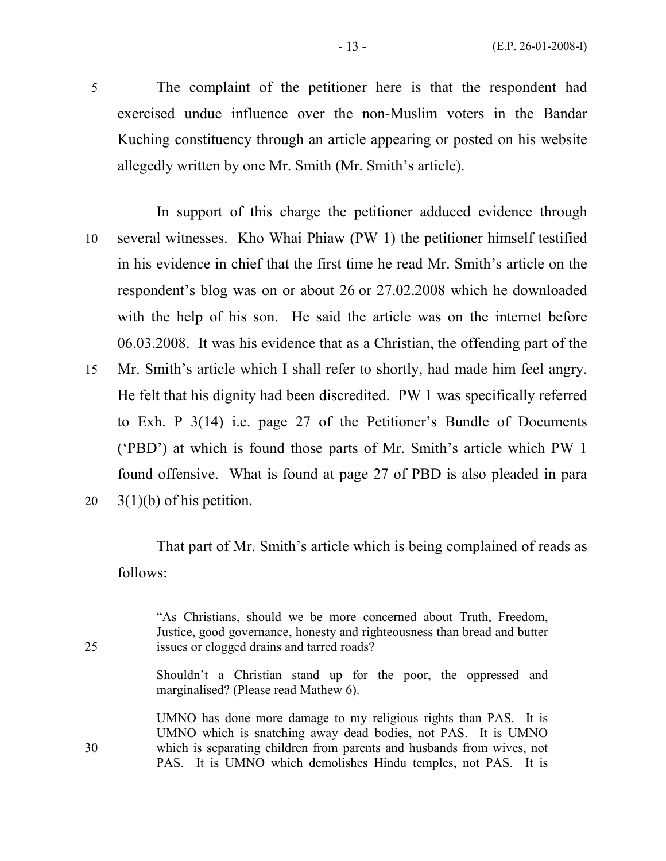5 The complaint of the petitioner here is that the respondent had exercised undue influence over the non-Muslim voters in the Bandar Kuching constituency through an article appearing or posted on his website allegedly written by one Mr. Smith (Mr. Smith's article).

 In support of this charge the petitioner adduced evidence through 10 several witnesses. Kho Whai Phiaw (PW 1) the petitioner himself testified in his evidence in chief that the first time he read Mr. Smith's article on the respondent's blog was on or about 26 or 27.02.2008 which he downloaded with the help of his son. He said the article was on the internet before 06.03.2008. It was his evidence that as a Christian, the offending part of the 15 Mr. Smith's article which I shall refer to shortly, had made him feel angry. He felt that his dignity had been discredited. PW 1 was specifically referred to Exh. P 3(14) i.e. page 27 of the Petitioner's Bundle of Documents ('PBD') at which is found those parts of Mr. Smith's article which PW 1 found offensive. What is found at page 27 of PBD is also pleaded in para

20  $3(1)(b)$  of his petition.

 That part of Mr. Smith's article which is being complained of reads as follows:

 "As Christians, should we be more concerned about Truth, Freedom, Justice, good governance, honesty and righteousness than bread and butter 25 issues or clogged drains and tarred roads?

> Shouldn't a Christian stand up for the poor, the oppressed and marginalised? (Please read Mathew 6).

 UMNO has done more damage to my religious rights than PAS. It is UMNO which is snatching away dead bodies, not PAS. It is UMNO 30 which is separating children from parents and husbands from wives, not PAS. It is UMNO which demolishes Hindu temples, not PAS. It is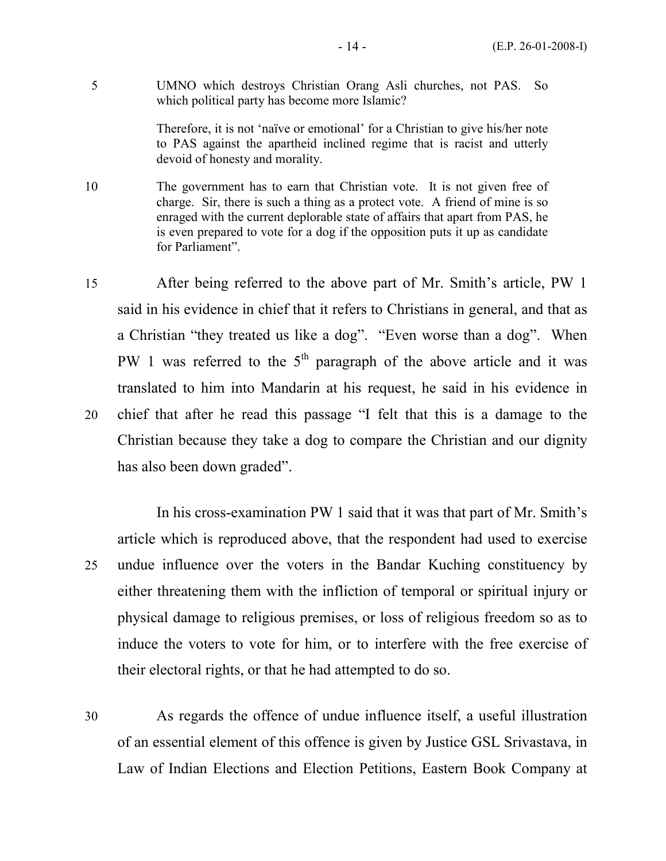5 UMNO which destroys Christian Orang Asli churches, not PAS. So which political party has become more Islamic?

> Therefore, it is not 'naïve or emotional' for a Christian to give his/her note to PAS against the apartheid inclined regime that is racist and utterly devoid of honesty and morality.

10 The government has to earn that Christian vote. It is not given free of charge. Sir, there is such a thing as a protect vote. A friend of mine is so enraged with the current deplorable state of affairs that apart from PAS, he is even prepared to vote for a dog if the opposition puts it up as candidate for Parliament".

15 After being referred to the above part of Mr. Smith's article, PW 1 said in his evidence in chief that it refers to Christians in general, and that as a Christian "they treated us like a dog". "Even worse than a dog". When PW 1 was referred to the  $5<sup>th</sup>$  paragraph of the above article and it was translated to him into Mandarin at his request, he said in his evidence in 20 chief that after he read this passage "I felt that this is a damage to the Christian because they take a dog to compare the Christian and our dignity has also been down graded".

In his cross-examination PW 1 said that it was that part of Mr. Smith's article which is reproduced above, that the respondent had used to exercise 25 undue influence over the voters in the Bandar Kuching constituency by either threatening them with the infliction of temporal or spiritual injury or physical damage to religious premises, or loss of religious freedom so as to induce the voters to vote for him, or to interfere with the free exercise of their electoral rights, or that he had attempted to do so.

30 As regards the offence of undue influence itself, a useful illustration of an essential element of this offence is given by Justice GSL Srivastava, in Law of Indian Elections and Election Petitions, Eastern Book Company at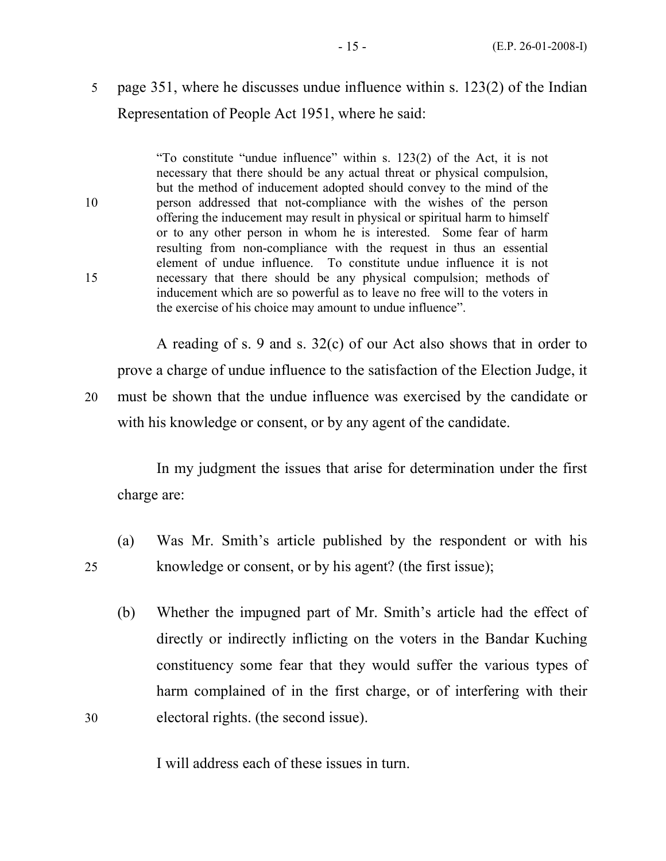# 5 page 351, where he discusses undue influence within s. 123(2) of the Indian Representation of People Act 1951, where he said:

 "To constitute "undue influence" within s. 123(2) of the Act, it is not necessary that there should be any actual threat or physical compulsion, but the method of inducement adopted should convey to the mind of the 10 person addressed that not-compliance with the wishes of the person offering the inducement may result in physical or spiritual harm to himself or to any other person in whom he is interested. Some fear of harm resulting from non-compliance with the request in thus an essential element of undue influence. To constitute undue influence it is not 15 necessary that there should be any physical compulsion; methods of inducement which are so powerful as to leave no free will to the voters in the exercise of his choice may amount to undue influence".

 A reading of s. 9 and s. 32(c) of our Act also shows that in order to prove a charge of undue influence to the satisfaction of the Election Judge, it 20 must be shown that the undue influence was exercised by the candidate or with his knowledge or consent, or by any agent of the candidate.

 In my judgment the issues that arise for determination under the first charge are:

- (a) Was Mr. Smith's article published by the respondent or with his 25 knowledge or consent, or by his agent? (the first issue);
- (b) Whether the impugned part of Mr. Smith's article had the effect of directly or indirectly inflicting on the voters in the Bandar Kuching constituency some fear that they would suffer the various types of harm complained of in the first charge, or of interfering with their 30 electoral rights. (the second issue).

I will address each of these issues in turn.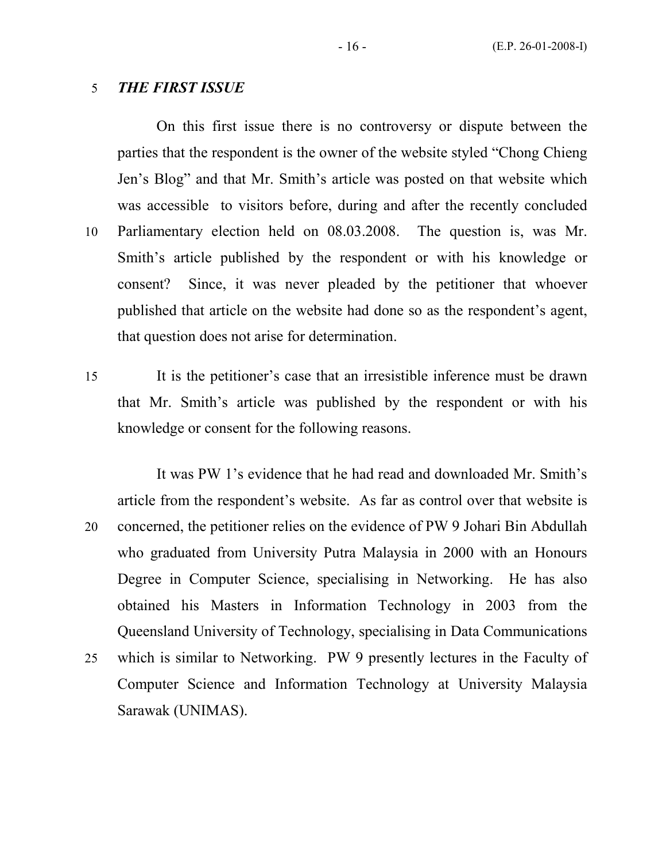#### 5 THE FIRST ISSUE

On this first issue there is no controversy or dispute between the parties that the respondent is the owner of the website styled "Chong Chieng Jen's Blog" and that Mr. Smith's article was posted on that website which was accessible to visitors before, during and after the recently concluded 10 Parliamentary election held on 08.03.2008. The question is, was Mr. Smith's article published by the respondent or with his knowledge or consent? Since, it was never pleaded by the petitioner that whoever published that article on the website had done so as the respondent's agent, that question does not arise for determination.

15 It is the petitioner's case that an irresistible inference must be drawn that Mr. Smith's article was published by the respondent or with his knowledge or consent for the following reasons.

It was PW 1's evidence that he had read and downloaded Mr. Smith's article from the respondent's website. As far as control over that website is 20 concerned, the petitioner relies on the evidence of PW 9 Johari Bin Abdullah who graduated from University Putra Malaysia in 2000 with an Honours Degree in Computer Science, specialising in Networking. He has also obtained his Masters in Information Technology in 2003 from the Queensland University of Technology, specialising in Data Communications 25 which is similar to Networking. PW 9 presently lectures in the Faculty of Computer Science and Information Technology at University Malaysia Sarawak (UNIMAS).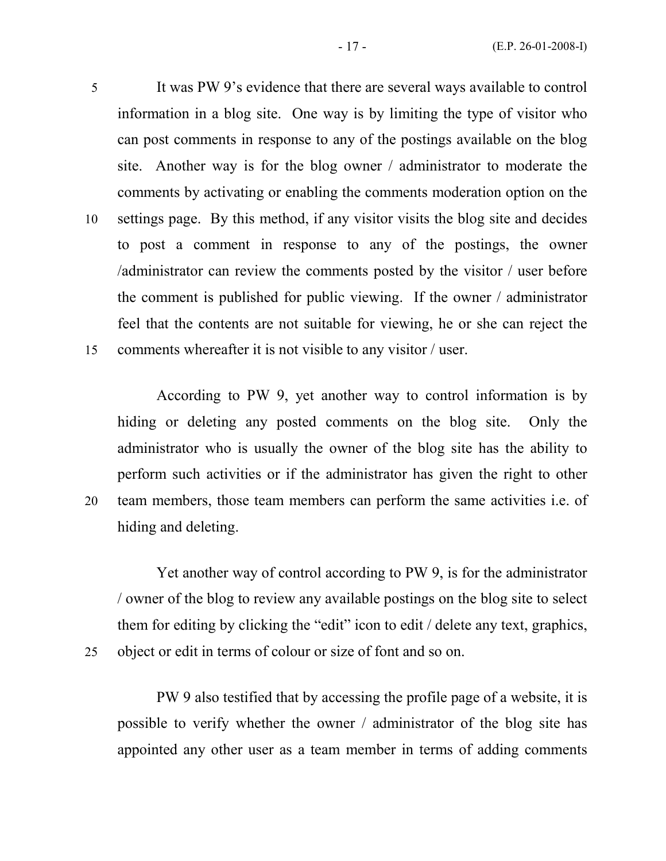5 It was PW 9's evidence that there are several ways available to control information in a blog site. One way is by limiting the type of visitor who can post comments in response to any of the postings available on the blog site. Another way is for the blog owner / administrator to moderate the comments by activating or enabling the comments moderation option on the 10 settings page. By this method, if any visitor visits the blog site and decides to post a comment in response to any of the postings, the owner /administrator can review the comments posted by the visitor / user before the comment is published for public viewing. If the owner / administrator feel that the contents are not suitable for viewing, he or she can reject the 15 comments whereafter it is not visible to any visitor / user.

According to PW 9, yet another way to control information is by hiding or deleting any posted comments on the blog site. Only the administrator who is usually the owner of the blog site has the ability to perform such activities or if the administrator has given the right to other 20 team members, those team members can perform the same activities i.e. of hiding and deleting.

Yet another way of control according to PW 9, is for the administrator / owner of the blog to review any available postings on the blog site to select them for editing by clicking the "edit" icon to edit / delete any text, graphics, 25 object or edit in terms of colour or size of font and so on.

PW 9 also testified that by accessing the profile page of a website, it is possible to verify whether the owner / administrator of the blog site has appointed any other user as a team member in terms of adding comments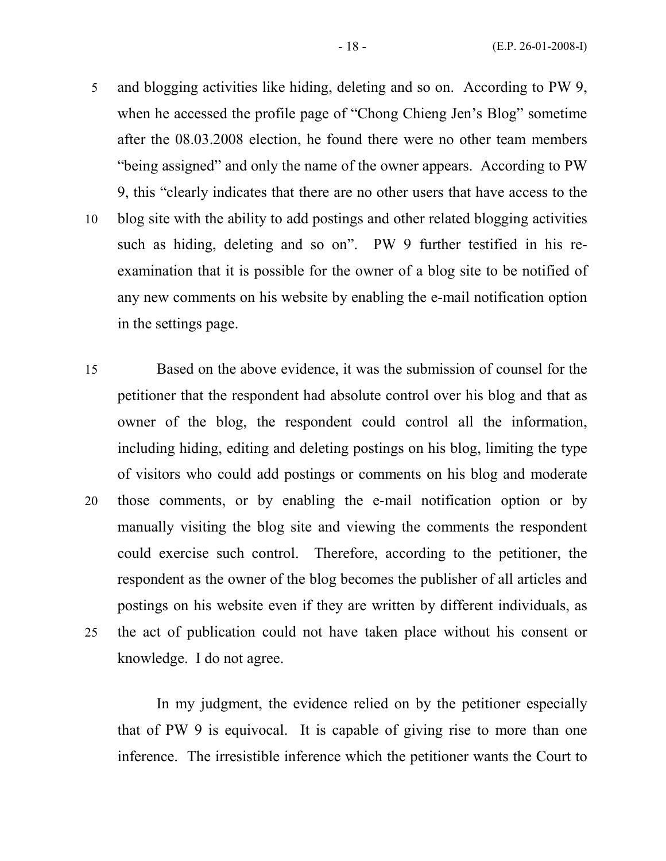- 5 and blogging activities like hiding, deleting and so on. According to PW 9, when he accessed the profile page of "Chong Chieng Jen's Blog" sometime after the 08.03.2008 election, he found there were no other team members "being assigned" and only the name of the owner appears. According to PW 9, this "clearly indicates that there are no other users that have access to the 10 blog site with the ability to add postings and other related blogging activities such as hiding, deleting and so on". PW 9 further testified in his re
	- examination that it is possible for the owner of a blog site to be notified of any new comments on his website by enabling the e-mail notification option in the settings page.
- 15 Based on the above evidence, it was the submission of counsel for the petitioner that the respondent had absolute control over his blog and that as owner of the blog, the respondent could control all the information, including hiding, editing and deleting postings on his blog, limiting the type of visitors who could add postings or comments on his blog and moderate 20 those comments, or by enabling the e-mail notification option or by manually visiting the blog site and viewing the comments the respondent could exercise such control. Therefore, according to the petitioner, the respondent as the owner of the blog becomes the publisher of all articles and postings on his website even if they are written by different individuals, as 25 the act of publication could not have taken place without his consent or knowledge. I do not agree.

In my judgment, the evidence relied on by the petitioner especially that of PW 9 is equivocal. It is capable of giving rise to more than one inference. The irresistible inference which the petitioner wants the Court to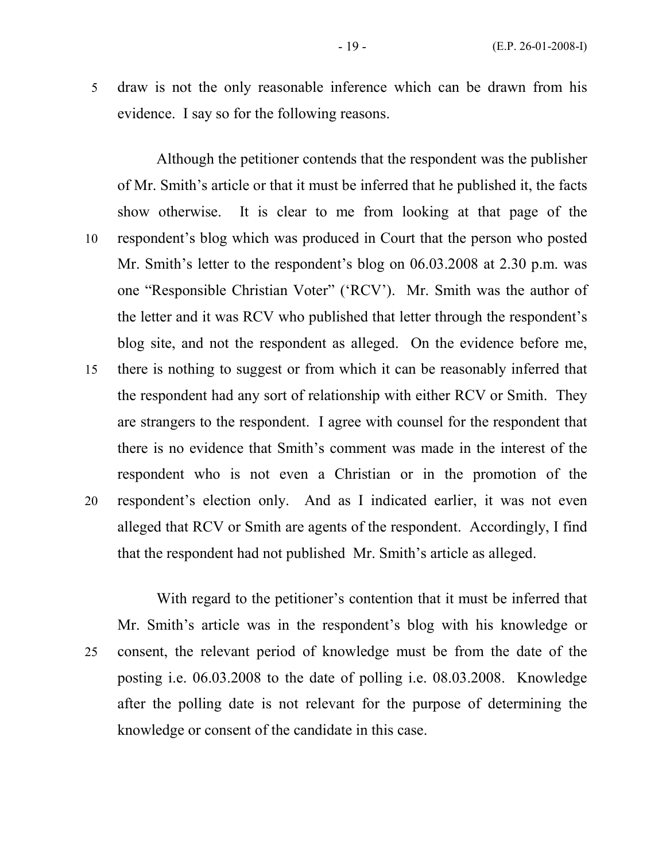5 draw is not the only reasonable inference which can be drawn from his evidence. I say so for the following reasons.

Although the petitioner contends that the respondent was the publisher of Mr. Smith's article or that it must be inferred that he published it, the facts show otherwise. It is clear to me from looking at that page of the 10 respondent's blog which was produced in Court that the person who posted Mr. Smith's letter to the respondent's blog on 06.03.2008 at 2.30 p.m. was one "Responsible Christian Voter" ('RCV'). Mr. Smith was the author of the letter and it was RCV who published that letter through the respondent's blog site, and not the respondent as alleged. On the evidence before me, 15 there is nothing to suggest or from which it can be reasonably inferred that the respondent had any sort of relationship with either RCV or Smith. They are strangers to the respondent. I agree with counsel for the respondent that there is no evidence that Smith's comment was made in the interest of the respondent who is not even a Christian or in the promotion of the 20 respondent's election only. And as I indicated earlier, it was not even alleged that RCV or Smith are agents of the respondent. Accordingly, I find that the respondent had not published Mr. Smith's article as alleged.

With regard to the petitioner's contention that it must be inferred that Mr. Smith's article was in the respondent's blog with his knowledge or 25 consent, the relevant period of knowledge must be from the date of the posting i.e. 06.03.2008 to the date of polling i.e. 08.03.2008. Knowledge after the polling date is not relevant for the purpose of determining the knowledge or consent of the candidate in this case.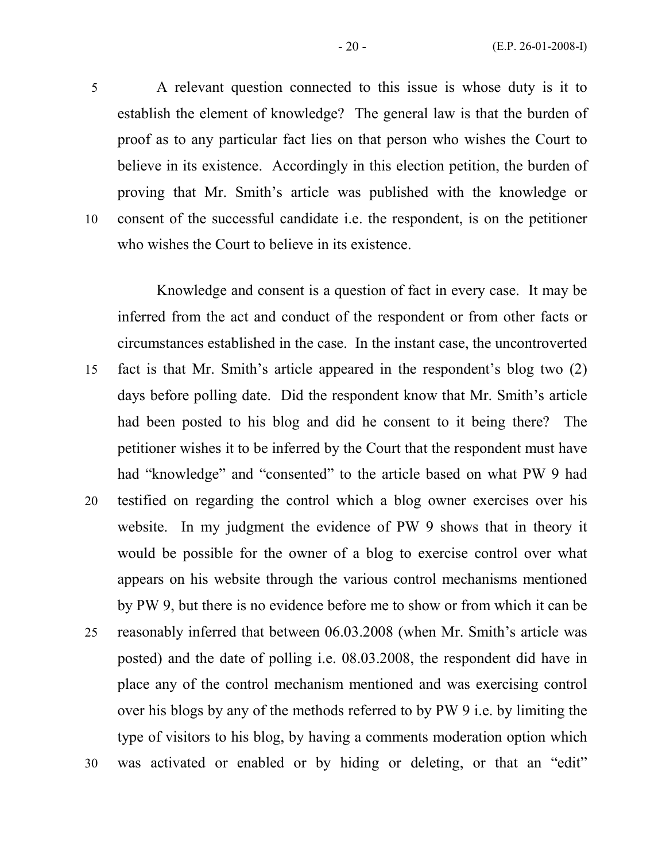5 A relevant question connected to this issue is whose duty is it to establish the element of knowledge? The general law is that the burden of proof as to any particular fact lies on that person who wishes the Court to believe in its existence. Accordingly in this election petition, the burden of proving that Mr. Smith's article was published with the knowledge or 10 consent of the successful candidate i.e. the respondent, is on the petitioner who wishes the Court to believe in its existence.

Knowledge and consent is a question of fact in every case. It may be inferred from the act and conduct of the respondent or from other facts or circumstances established in the case. In the instant case, the uncontroverted 15 fact is that Mr. Smith's article appeared in the respondent's blog two (2) days before polling date. Did the respondent know that Mr. Smith's article had been posted to his blog and did he consent to it being there? The petitioner wishes it to be inferred by the Court that the respondent must have had "knowledge" and "consented" to the article based on what PW 9 had 20 testified on regarding the control which a blog owner exercises over his website. In my judgment the evidence of PW 9 shows that in theory it would be possible for the owner of a blog to exercise control over what appears on his website through the various control mechanisms mentioned by PW 9, but there is no evidence before me to show or from which it can be 25 reasonably inferred that between 06.03.2008 (when Mr. Smith's article was posted) and the date of polling i.e. 08.03.2008, the respondent did have in place any of the control mechanism mentioned and was exercising control over his blogs by any of the methods referred to by PW 9 i.e. by limiting the type of visitors to his blog, by having a comments moderation option which 30 was activated or enabled or by hiding or deleting, or that an "edit"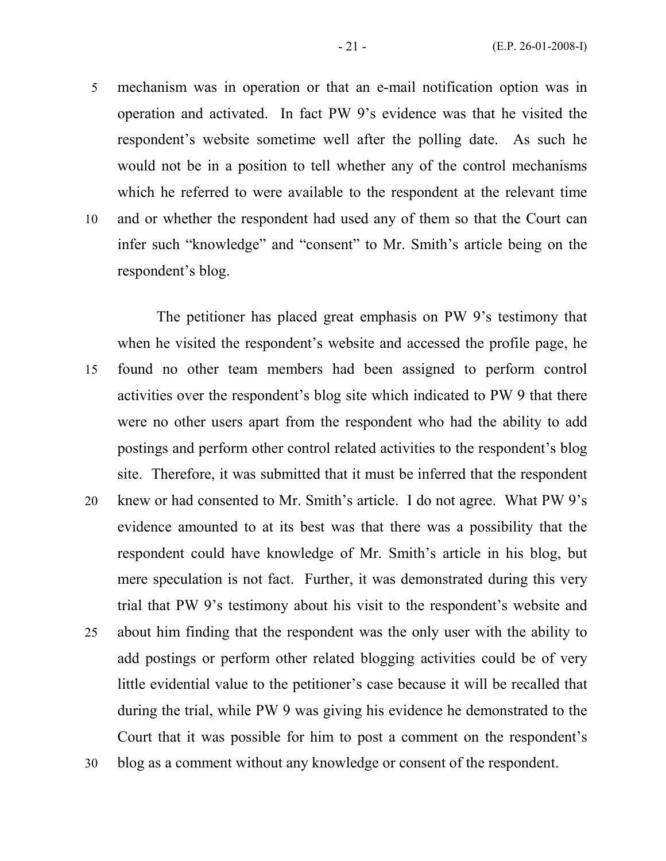5 mechanism was in operation or that an e-mail notification option was in operation and activated. In fact PW 9's evidence was that he visited the respondent's website sometime well after the polling date. As such he would not be in a position to tell whether any of the control mechanisms which he referred to were available to the respondent at the relevant time 10 and or whether the respondent had used any of them so that the Court can infer such "knowledge" and "consent" to Mr. Smith's article being on the respondent's blog.

The petitioner has placed great emphasis on PW 9's testimony that when he visited the respondent's website and accessed the profile page, he 15 found no other team members had been assigned to perform control activities over the respondent's blog site which indicated to PW 9 that there were no other users apart from the respondent who had the ability to add postings and perform other control related activities to the respondent's blog site. Therefore, it was submitted that it must be inferred that the respondent 20 knew or had consented to Mr. Smith's article. I do not agree. What PW 9's evidence amounted to at its best was that there was a possibility that the respondent could have knowledge of Mr. Smith's article in his blog, but mere speculation is not fact. Further, it was demonstrated during this very trial that PW 9's testimony about his visit to the respondent's website and 25 about him finding that the respondent was the only user with the ability to add postings or perform other related blogging activities could be of very little evidential value to the petitioner's case because it will be recalled that during the trial, while PW 9 was giving his evidence he demonstrated to the Court that it was possible for him to post a comment on the respondent's 30 blog as a comment without any knowledge or consent of the respondent.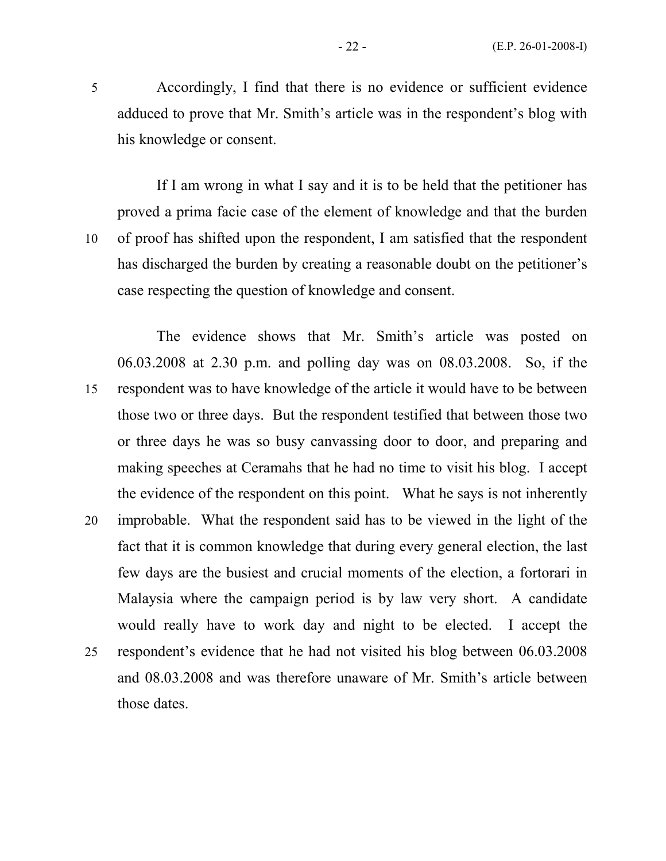5 Accordingly, I find that there is no evidence or sufficient evidence adduced to prove that Mr. Smith's article was in the respondent's blog with his knowledge or consent.

If I am wrong in what I say and it is to be held that the petitioner has proved a prima facie case of the element of knowledge and that the burden 10 of proof has shifted upon the respondent, I am satisfied that the respondent has discharged the burden by creating a reasonable doubt on the petitioner's case respecting the question of knowledge and consent.

The evidence shows that Mr. Smith's article was posted on 06.03.2008 at 2.30 p.m. and polling day was on 08.03.2008. So, if the 15 respondent was to have knowledge of the article it would have to be between those two or three days. But the respondent testified that between those two or three days he was so busy canvassing door to door, and preparing and making speeches at Ceramahs that he had no time to visit his blog. I accept the evidence of the respondent on this point. What he says is not inherently 20 improbable. What the respondent said has to be viewed in the light of the fact that it is common knowledge that during every general election, the last few days are the busiest and crucial moments of the election, a fortorari in Malaysia where the campaign period is by law very short. A candidate would really have to work day and night to be elected. I accept the 25 respondent's evidence that he had not visited his blog between 06.03.2008 and 08.03.2008 and was therefore unaware of Mr. Smith's article between those dates.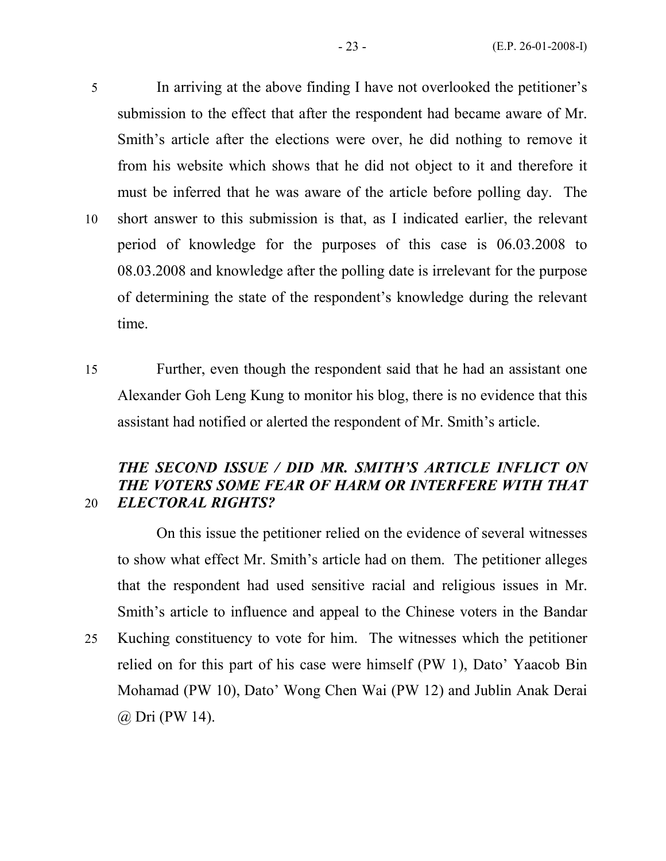5 In arriving at the above finding I have not overlooked the petitioner's submission to the effect that after the respondent had became aware of Mr. Smith's article after the elections were over, he did nothing to remove it from his website which shows that he did not object to it and therefore it must be inferred that he was aware of the article before polling day. The 10 short answer to this submission is that, as I indicated earlier, the relevant period of knowledge for the purposes of this case is 06.03.2008 to 08.03.2008 and knowledge after the polling date is irrelevant for the purpose of determining the state of the respondent's knowledge during the relevant time.

15 Further, even though the respondent said that he had an assistant one Alexander Goh Leng Kung to monitor his blog, there is no evidence that this assistant had notified or alerted the respondent of Mr. Smith's article.

# THE SECOND ISSUE / DID MR. SMITH'S ARTICLE INFLICT ON THE VOTERS SOME FEAR OF HARM OR INTERFERE WITH THAT 20 ELECTORAL RIGHTS?

On this issue the petitioner relied on the evidence of several witnesses to show what effect Mr. Smith's article had on them. The petitioner alleges that the respondent had used sensitive racial and religious issues in Mr. Smith's article to influence and appeal to the Chinese voters in the Bandar 25 Kuching constituency to vote for him. The witnesses which the petitioner relied on for this part of his case were himself (PW 1), Dato' Yaacob Bin Mohamad (PW 10), Dato' Wong Chen Wai (PW 12) and Jublin Anak Derai

@ Dri (PW 14).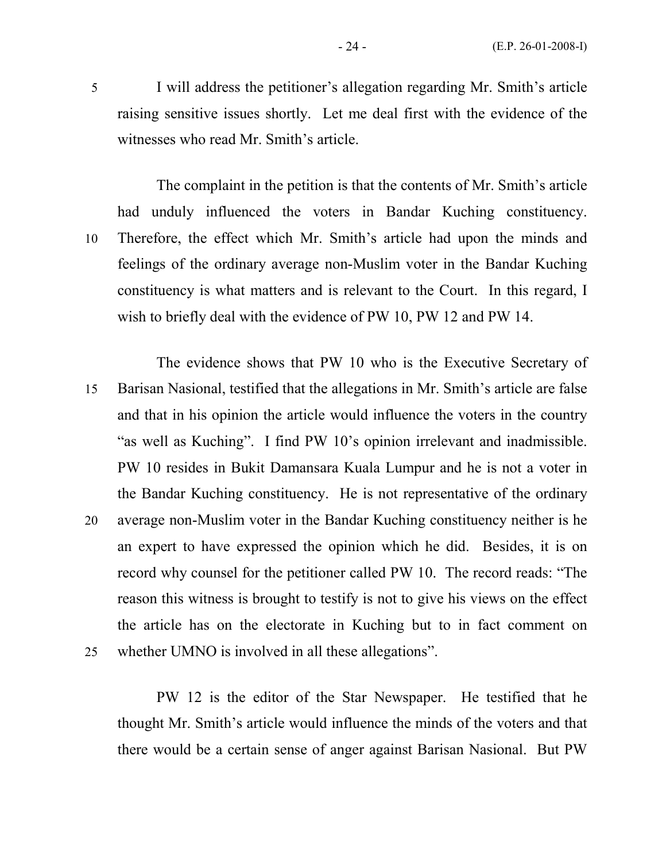5 I will address the petitioner's allegation regarding Mr. Smith's article raising sensitive issues shortly. Let me deal first with the evidence of the witnesses who read Mr. Smith's article.

The complaint in the petition is that the contents of Mr. Smith's article had unduly influenced the voters in Bandar Kuching constituency. 10 Therefore, the effect which Mr. Smith's article had upon the minds and feelings of the ordinary average non-Muslim voter in the Bandar Kuching constituency is what matters and is relevant to the Court. In this regard, I wish to briefly deal with the evidence of PW 10, PW 12 and PW 14.

The evidence shows that PW 10 who is the Executive Secretary of 15 Barisan Nasional, testified that the allegations in Mr. Smith's article are false and that in his opinion the article would influence the voters in the country "as well as Kuching". I find PW 10's opinion irrelevant and inadmissible. PW 10 resides in Bukit Damansara Kuala Lumpur and he is not a voter in the Bandar Kuching constituency. He is not representative of the ordinary 20 average non-Muslim voter in the Bandar Kuching constituency neither is he an expert to have expressed the opinion which he did. Besides, it is on record why counsel for the petitioner called PW 10. The record reads: "The reason this witness is brought to testify is not to give his views on the effect the article has on the electorate in Kuching but to in fact comment on 25 whether UMNO is involved in all these allegations".

PW 12 is the editor of the Star Newspaper. He testified that he thought Mr. Smith's article would influence the minds of the voters and that there would be a certain sense of anger against Barisan Nasional. But PW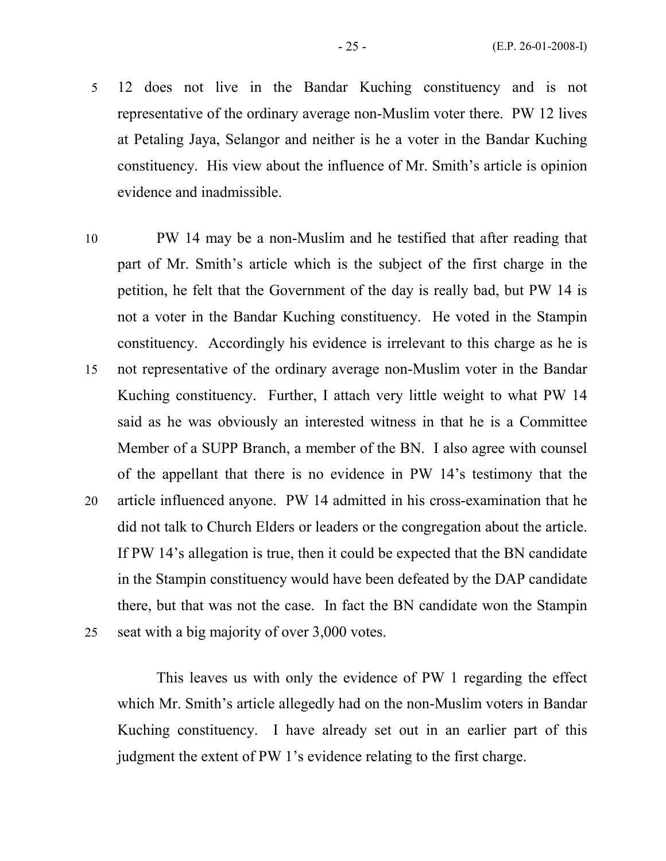- 5 12 does not live in the Bandar Kuching constituency and is not representative of the ordinary average non-Muslim voter there. PW 12 lives at Petaling Jaya, Selangor and neither is he a voter in the Bandar Kuching constituency. His view about the influence of Mr. Smith's article is opinion evidence and inadmissible.
- 10 PW 14 may be a non-Muslim and he testified that after reading that part of Mr. Smith's article which is the subject of the first charge in the petition, he felt that the Government of the day is really bad, but PW 14 is not a voter in the Bandar Kuching constituency. He voted in the Stampin constituency. Accordingly his evidence is irrelevant to this charge as he is 15 not representative of the ordinary average non-Muslim voter in the Bandar Kuching constituency. Further, I attach very little weight to what PW 14 said as he was obviously an interested witness in that he is a Committee Member of a SUPP Branch, a member of the BN. I also agree with counsel of the appellant that there is no evidence in PW 14's testimony that the 20 article influenced anyone. PW 14 admitted in his cross-examination that he did not talk to Church Elders or leaders or the congregation about the article. If PW 14's allegation is true, then it could be expected that the BN candidate in the Stampin constituency would have been defeated by the DAP candidate there, but that was not the case. In fact the BN candidate won the Stampin 25 seat with a big majority of over 3,000 votes.

This leaves us with only the evidence of PW 1 regarding the effect which Mr. Smith's article allegedly had on the non-Muslim voters in Bandar Kuching constituency. I have already set out in an earlier part of this judgment the extent of PW 1's evidence relating to the first charge.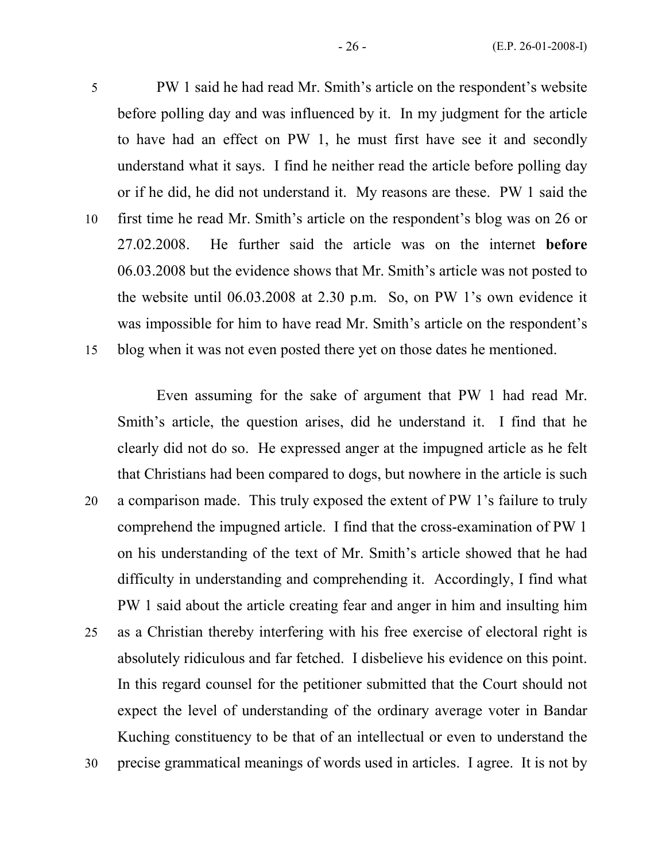5 PW 1 said he had read Mr. Smith's article on the respondent's website before polling day and was influenced by it. In my judgment for the article to have had an effect on PW 1, he must first have see it and secondly understand what it says. I find he neither read the article before polling day or if he did, he did not understand it. My reasons are these. PW 1 said the 10 first time he read Mr. Smith's article on the respondent's blog was on 26 or 27.02.2008. He further said the article was on the internet before 06.03.2008 but the evidence shows that Mr. Smith's article was not posted to the website until 06.03.2008 at 2.30 p.m. So, on PW 1's own evidence it

was impossible for him to have read Mr. Smith's article on the respondent's 15 blog when it was not even posted there yet on those dates he mentioned.

Even assuming for the sake of argument that PW 1 had read Mr. Smith's article, the question arises, did he understand it. I find that he clearly did not do so. He expressed anger at the impugned article as he felt that Christians had been compared to dogs, but nowhere in the article is such 20 a comparison made. This truly exposed the extent of PW 1's failure to truly comprehend the impugned article. I find that the cross-examination of PW 1 on his understanding of the text of Mr. Smith's article showed that he had difficulty in understanding and comprehending it. Accordingly, I find what PW 1 said about the article creating fear and anger in him and insulting him 25 as a Christian thereby interfering with his free exercise of electoral right is absolutely ridiculous and far fetched. I disbelieve his evidence on this point.

In this regard counsel for the petitioner submitted that the Court should not expect the level of understanding of the ordinary average voter in Bandar Kuching constituency to be that of an intellectual or even to understand the

30 precise grammatical meanings of words used in articles. I agree. It is not by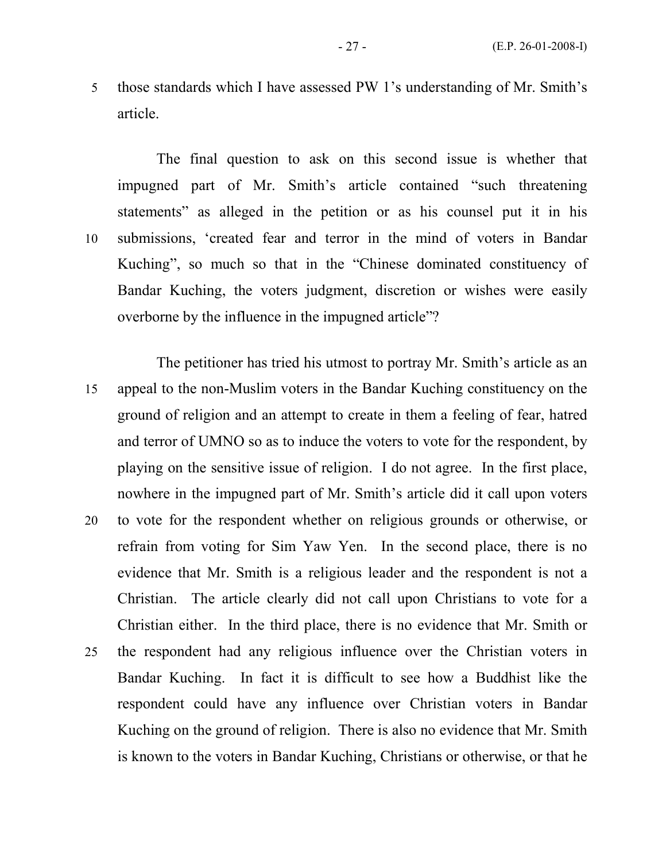5 those standards which I have assessed PW 1's understanding of Mr. Smith's article.

The final question to ask on this second issue is whether that impugned part of Mr. Smith's article contained "such threatening statements" as alleged in the petition or as his counsel put it in his 10 submissions, 'created fear and terror in the mind of voters in Bandar Kuching", so much so that in the "Chinese dominated constituency of Bandar Kuching, the voters judgment, discretion or wishes were easily overborne by the influence in the impugned article"?

The petitioner has tried his utmost to portray Mr. Smith's article as an 15 appeal to the non-Muslim voters in the Bandar Kuching constituency on the ground of religion and an attempt to create in them a feeling of fear, hatred and terror of UMNO so as to induce the voters to vote for the respondent, by playing on the sensitive issue of religion. I do not agree. In the first place, nowhere in the impugned part of Mr. Smith's article did it call upon voters 20 to vote for the respondent whether on religious grounds or otherwise, or refrain from voting for Sim Yaw Yen. In the second place, there is no evidence that Mr. Smith is a religious leader and the respondent is not a Christian. The article clearly did not call upon Christians to vote for a Christian either. In the third place, there is no evidence that Mr. Smith or 25 the respondent had any religious influence over the Christian voters in Bandar Kuching. In fact it is difficult to see how a Buddhist like the respondent could have any influence over Christian voters in Bandar Kuching on the ground of religion. There is also no evidence that Mr. Smith is known to the voters in Bandar Kuching, Christians or otherwise, or that he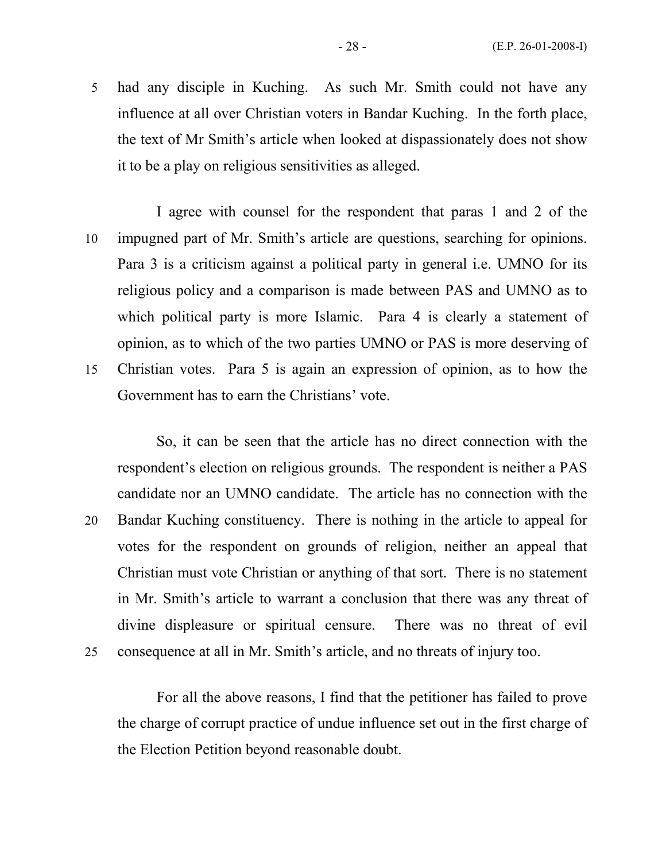5 had any disciple in Kuching. As such Mr. Smith could not have any influence at all over Christian voters in Bandar Kuching. In the forth place, the text of Mr Smith's article when looked at dispassionately does not show it to be a play on religious sensitivities as alleged.

I agree with counsel for the respondent that paras 1 and 2 of the 10 impugned part of Mr. Smith's article are questions, searching for opinions. Para 3 is a criticism against a political party in general i.e. UMNO for its religious policy and a comparison is made between PAS and UMNO as to which political party is more Islamic. Para 4 is clearly a statement of opinion, as to which of the two parties UMNO or PAS is more deserving of 15 Christian votes. Para 5 is again an expression of opinion, as to how the Government has to earn the Christians' vote.

So, it can be seen that the article has no direct connection with the respondent's election on religious grounds. The respondent is neither a PAS candidate nor an UMNO candidate. The article has no connection with the 20 Bandar Kuching constituency. There is nothing in the article to appeal for votes for the respondent on grounds of religion, neither an appeal that Christian must vote Christian or anything of that sort. There is no statement in Mr. Smith's article to warrant a conclusion that there was any threat of divine displeasure or spiritual censure. There was no threat of evil 25 consequence at all in Mr. Smith's article, and no threats of injury too.

For all the above reasons, I find that the petitioner has failed to prove the charge of corrupt practice of undue influence set out in the first charge of the Election Petition beyond reasonable doubt.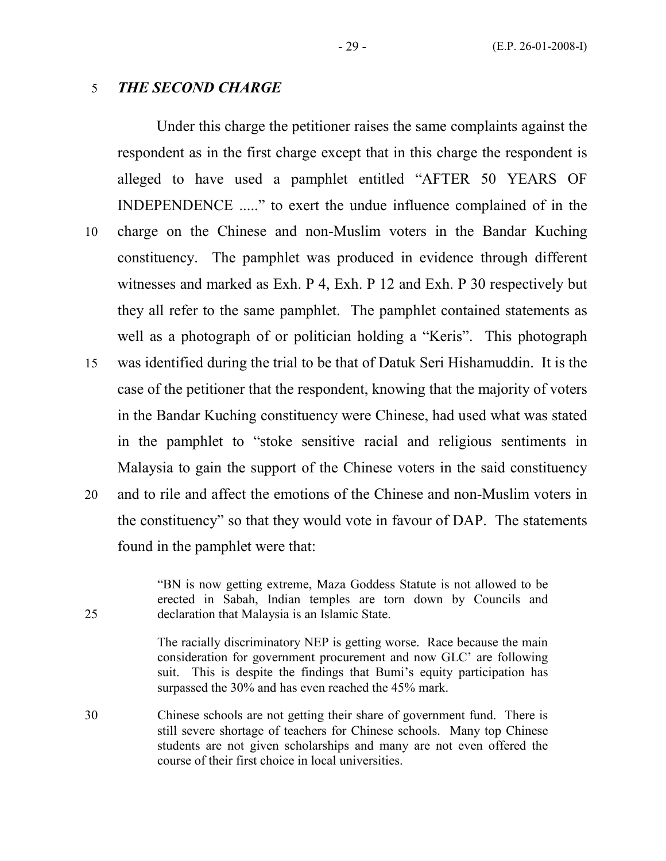#### 5 THE SECOND CHARGE

 Under this charge the petitioner raises the same complaints against the respondent as in the first charge except that in this charge the respondent is alleged to have used a pamphlet entitled "AFTER 50 YEARS OF INDEPENDENCE ....." to exert the undue influence complained of in the 10 charge on the Chinese and non-Muslim voters in the Bandar Kuching constituency. The pamphlet was produced in evidence through different witnesses and marked as Exh. P 4, Exh. P 12 and Exh. P 30 respectively but they all refer to the same pamphlet. The pamphlet contained statements as well as a photograph of or politician holding a "Keris". This photograph 15 was identified during the trial to be that of Datuk Seri Hishamuddin. It is the case of the petitioner that the respondent, knowing that the majority of voters in the Bandar Kuching constituency were Chinese, had used what was stated in the pamphlet to "stoke sensitive racial and religious sentiments in Malaysia to gain the support of the Chinese voters in the said constituency 20 and to rile and affect the emotions of the Chinese and non-Muslim voters in the constituency" so that they would vote in favour of DAP. The statements

found in the pamphlet were that:

 "BN is now getting extreme, Maza Goddess Statute is not allowed to be erected in Sabah, Indian temples are torn down by Councils and 25 declaration that Malaysia is an Islamic State.

> The racially discriminatory NEP is getting worse. Race because the main consideration for government procurement and now GLC' are following suit. This is despite the findings that Bumi's equity participation has surpassed the 30% and has even reached the 45% mark.

30 Chinese schools are not getting their share of government fund. There is still severe shortage of teachers for Chinese schools. Many top Chinese students are not given scholarships and many are not even offered the course of their first choice in local universities.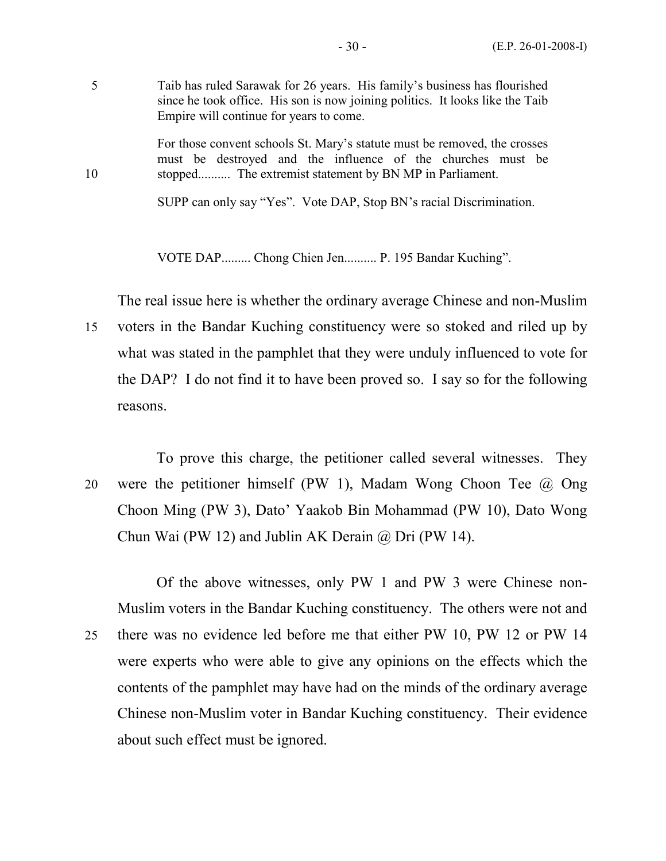5 Taib has ruled Sarawak for 26 years. His family's business has flourished since he took office. His son is now joining politics. It looks like the Taib Empire will continue for years to come.

 For those convent schools St. Mary's statute must be removed, the crosses must be destroyed and the influence of the churches must be 10 stopped.......... The extremist statement by BN MP in Parliament.

SUPP can only say "Yes". Vote DAP, Stop BN's racial Discrimination.

VOTE DAP......... Chong Chien Jen.......... P. 195 Bandar Kuching".

The real issue here is whether the ordinary average Chinese and non-Muslim

- 15 voters in the Bandar Kuching constituency were so stoked and riled up by what was stated in the pamphlet that they were unduly influenced to vote for the DAP? I do not find it to have been proved so. I say so for the following reasons.
- To prove this charge, the petitioner called several witnesses. They 20 were the petitioner himself (PW 1), Madam Wong Choon Tee @ Ong Choon Ming (PW 3), Dato' Yaakob Bin Mohammad (PW 10), Dato Wong Chun Wai (PW 12) and Jublin AK Derain  $\omega$  Dri (PW 14).

 Of the above witnesses, only PW 1 and PW 3 were Chinese non-Muslim voters in the Bandar Kuching constituency. The others were not and 25 there was no evidence led before me that either PW 10, PW 12 or PW 14 were experts who were able to give any opinions on the effects which the contents of the pamphlet may have had on the minds of the ordinary average Chinese non-Muslim voter in Bandar Kuching constituency. Their evidence about such effect must be ignored.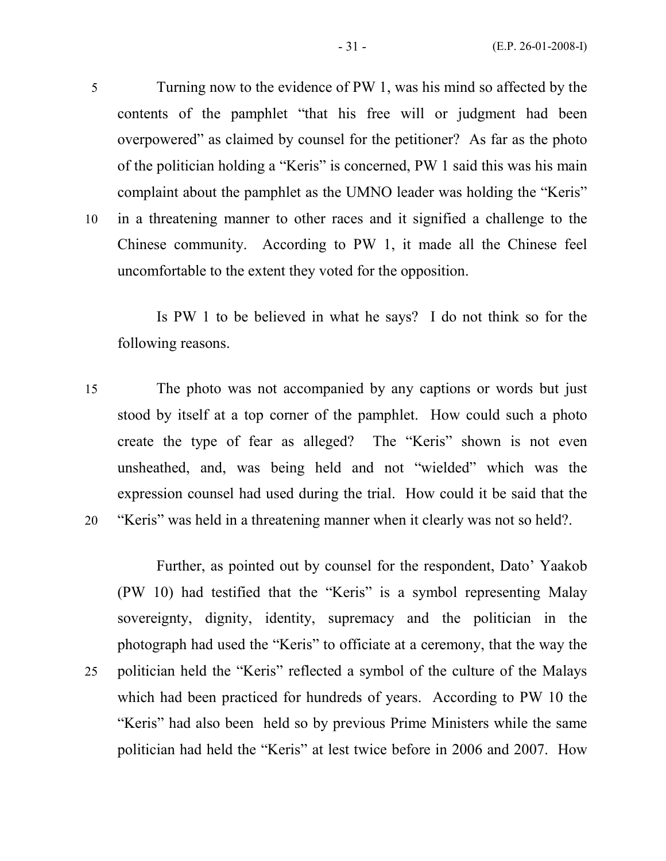5 Turning now to the evidence of PW 1, was his mind so affected by the contents of the pamphlet "that his free will or judgment had been overpowered" as claimed by counsel for the petitioner? As far as the photo of the politician holding a "Keris" is concerned, PW 1 said this was his main complaint about the pamphlet as the UMNO leader was holding the "Keris" 10 in a threatening manner to other races and it signified a challenge to the Chinese community. According to PW 1, it made all the Chinese feel uncomfortable to the extent they voted for the opposition.

 Is PW 1 to be believed in what he says? I do not think so for the following reasons.

15 The photo was not accompanied by any captions or words but just stood by itself at a top corner of the pamphlet. How could such a photo create the type of fear as alleged? The "Keris" shown is not even unsheathed, and, was being held and not "wielded" which was the expression counsel had used during the trial. How could it be said that the 20 "Keris" was held in a threatening manner when it clearly was not so held?.

 Further, as pointed out by counsel for the respondent, Dato' Yaakob (PW 10) had testified that the "Keris" is a symbol representing Malay sovereignty, dignity, identity, supremacy and the politician in the photograph had used the "Keris" to officiate at a ceremony, that the way the 25 politician held the "Keris" reflected a symbol of the culture of the Malays which had been practiced for hundreds of years. According to PW 10 the "Keris" had also been held so by previous Prime Ministers while the same politician had held the "Keris" at lest twice before in 2006 and 2007. How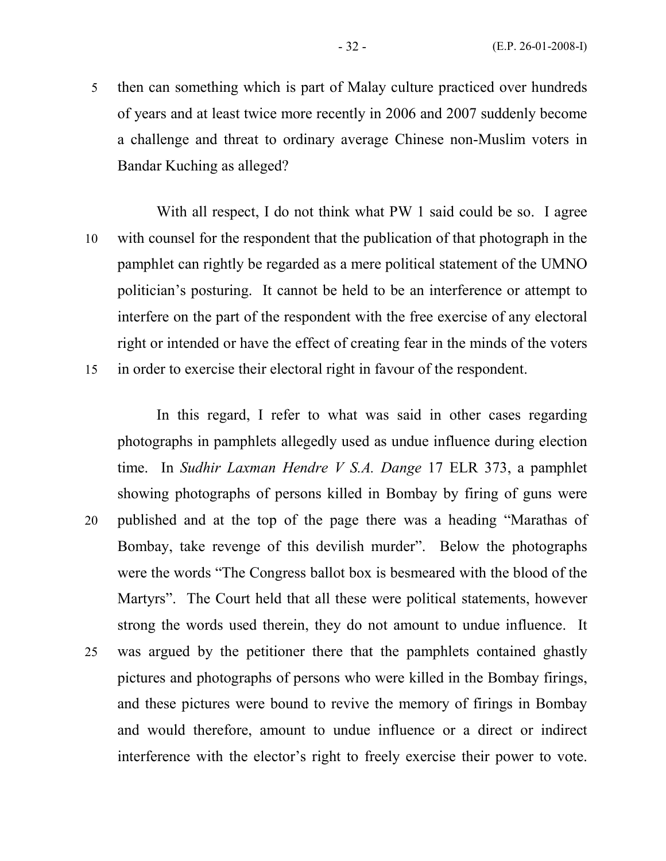5 then can something which is part of Malay culture practiced over hundreds of years and at least twice more recently in 2006 and 2007 suddenly become a challenge and threat to ordinary average Chinese non-Muslim voters in Bandar Kuching as alleged?

With all respect, I do not think what PW 1 said could be so. I agree 10 with counsel for the respondent that the publication of that photograph in the pamphlet can rightly be regarded as a mere political statement of the UMNO politician's posturing. It cannot be held to be an interference or attempt to interfere on the part of the respondent with the free exercise of any electoral right or intended or have the effect of creating fear in the minds of the voters 15 in order to exercise their electoral right in favour of the respondent.

In this regard, I refer to what was said in other cases regarding photographs in pamphlets allegedly used as undue influence during election time. In Sudhir Laxman Hendre V S.A. Dange 17 ELR 373, a pamphlet showing photographs of persons killed in Bombay by firing of guns were 20 published and at the top of the page there was a heading "Marathas of Bombay, take revenge of this devilish murder". Below the photographs were the words "The Congress ballot box is besmeared with the blood of the Martyrs". The Court held that all these were political statements, however strong the words used therein, they do not amount to undue influence. It 25 was argued by the petitioner there that the pamphlets contained ghastly pictures and photographs of persons who were killed in the Bombay firings, and these pictures were bound to revive the memory of firings in Bombay and would therefore, amount to undue influence or a direct or indirect interference with the elector's right to freely exercise their power to vote.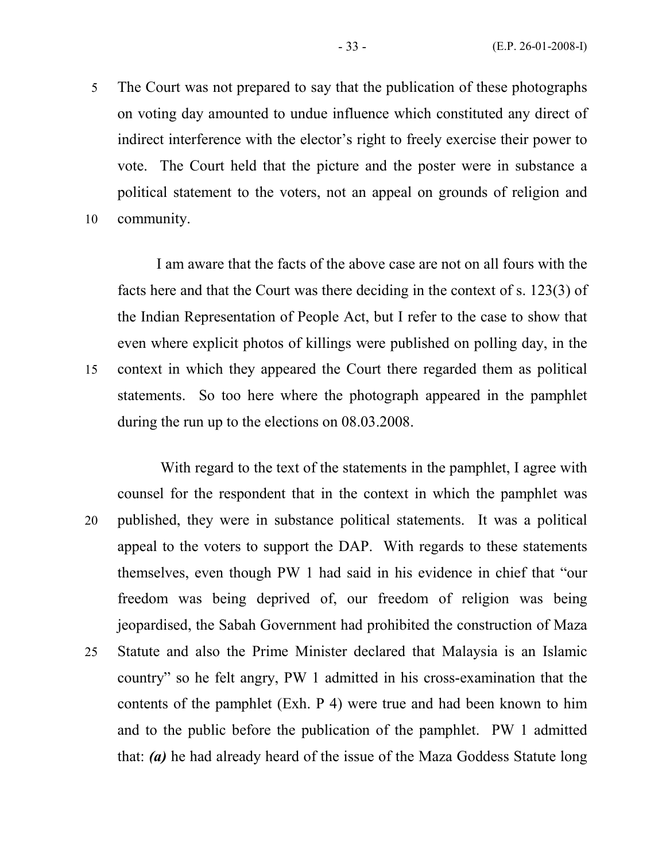5 The Court was not prepared to say that the publication of these photographs on voting day amounted to undue influence which constituted any direct of indirect interference with the elector's right to freely exercise their power to vote. The Court held that the picture and the poster were in substance a political statement to the voters, not an appeal on grounds of religion and 10 community.

I am aware that the facts of the above case are not on all fours with the facts here and that the Court was there deciding in the context of s. 123(3) of the Indian Representation of People Act, but I refer to the case to show that even where explicit photos of killings were published on polling day, in the 15 context in which they appeared the Court there regarded them as political statements. So too here where the photograph appeared in the pamphlet during the run up to the elections on 08.03.2008.

 With regard to the text of the statements in the pamphlet, I agree with counsel for the respondent that in the context in which the pamphlet was 20 published, they were in substance political statements. It was a political appeal to the voters to support the DAP. With regards to these statements themselves, even though PW 1 had said in his evidence in chief that "our freedom was being deprived of, our freedom of religion was being jeopardised, the Sabah Government had prohibited the construction of Maza 25 Statute and also the Prime Minister declared that Malaysia is an Islamic country" so he felt angry, PW 1 admitted in his cross-examination that the contents of the pamphlet (Exh. P 4) were true and had been known to him and to the public before the publication of the pamphlet. PW 1 admitted that: (a) he had already heard of the issue of the Maza Goddess Statute long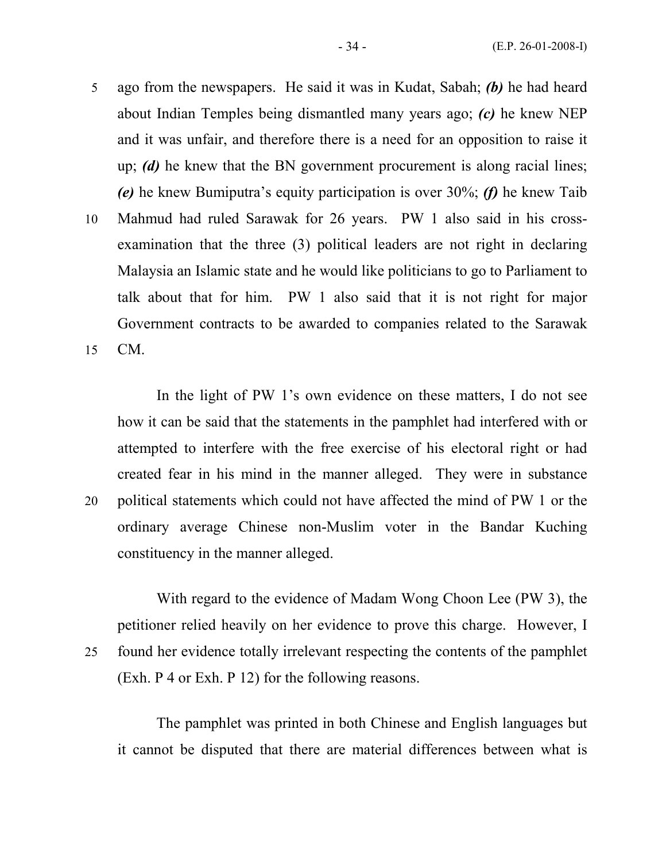- 5 ago from the newspapers. He said it was in Kudat, Sabah; (b) he had heard about Indian Temples being dismantled many years ago; (c) he knew NEP and it was unfair, and therefore there is a need for an opposition to raise it up; (d) he knew that the BN government procurement is along racial lines; (e) he knew Bumiputra's equity participation is over 30%; (f) he knew Taib 10 Mahmud had ruled Sarawak for 26 years. PW 1 also said in his cross-
- examination that the three (3) political leaders are not right in declaring Malaysia an Islamic state and he would like politicians to go to Parliament to talk about that for him. PW 1 also said that it is not right for major Government contracts to be awarded to companies related to the Sarawak 15 CM.

In the light of PW 1's own evidence on these matters, I do not see how it can be said that the statements in the pamphlet had interfered with or attempted to interfere with the free exercise of his electoral right or had created fear in his mind in the manner alleged. They were in substance 20 political statements which could not have affected the mind of PW 1 or the ordinary average Chinese non-Muslim voter in the Bandar Kuching constituency in the manner alleged.

 With regard to the evidence of Madam Wong Choon Lee (PW 3), the petitioner relied heavily on her evidence to prove this charge. However, I 25 found her evidence totally irrelevant respecting the contents of the pamphlet (Exh. P 4 or Exh. P 12) for the following reasons.

 The pamphlet was printed in both Chinese and English languages but it cannot be disputed that there are material differences between what is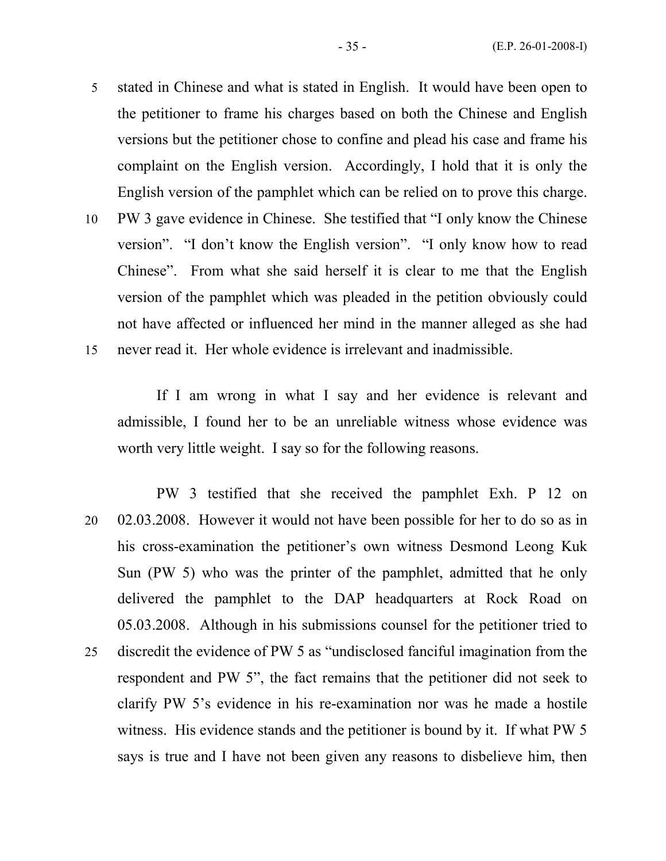- 5 stated in Chinese and what is stated in English. It would have been open to the petitioner to frame his charges based on both the Chinese and English versions but the petitioner chose to confine and plead his case and frame his complaint on the English version. Accordingly, I hold that it is only the English version of the pamphlet which can be relied on to prove this charge.
- 10 PW 3 gave evidence in Chinese. She testified that "I only know the Chinese version". "I don't know the English version". "I only know how to read Chinese". From what she said herself it is clear to me that the English version of the pamphlet which was pleaded in the petition obviously could not have affected or influenced her mind in the manner alleged as she had 15 never read it. Her whole evidence is irrelevant and inadmissible.

 If I am wrong in what I say and her evidence is relevant and admissible, I found her to be an unreliable witness whose evidence was worth very little weight. I say so for the following reasons.

 PW 3 testified that she received the pamphlet Exh. P 12 on 20 02.03.2008. However it would not have been possible for her to do so as in his cross-examination the petitioner's own witness Desmond Leong Kuk Sun (PW 5) who was the printer of the pamphlet, admitted that he only delivered the pamphlet to the DAP headquarters at Rock Road on 05.03.2008. Although in his submissions counsel for the petitioner tried to 25 discredit the evidence of PW 5 as "undisclosed fanciful imagination from the respondent and PW 5", the fact remains that the petitioner did not seek to clarify PW 5's evidence in his re-examination nor was he made a hostile witness. His evidence stands and the petitioner is bound by it. If what PW 5 says is true and I have not been given any reasons to disbelieve him, then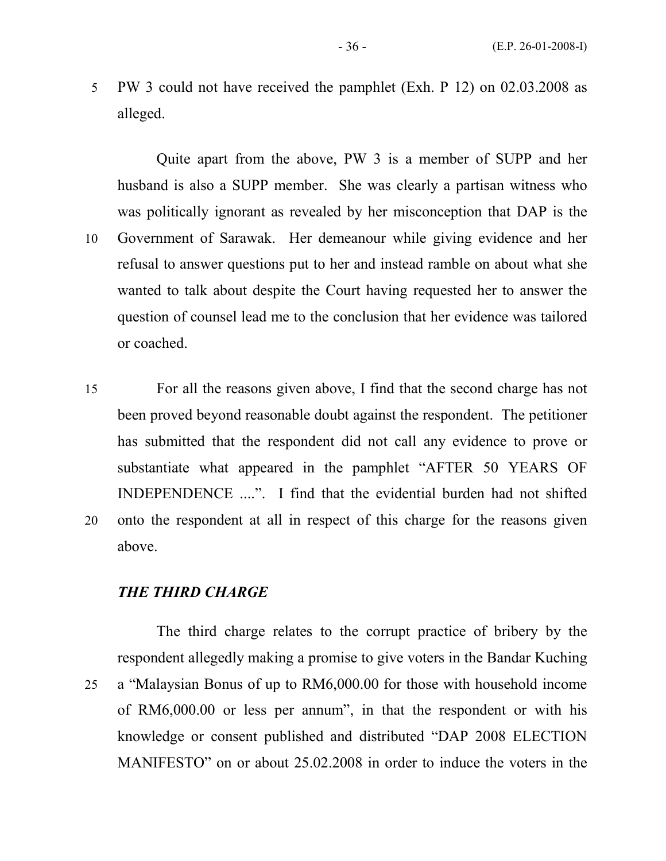5 PW 3 could not have received the pamphlet (Exh. P 12) on 02.03.2008 as alleged.

 Quite apart from the above, PW 3 is a member of SUPP and her husband is also a SUPP member. She was clearly a partisan witness who was politically ignorant as revealed by her misconception that DAP is the 10 Government of Sarawak. Her demeanour while giving evidence and her refusal to answer questions put to her and instead ramble on about what she wanted to talk about despite the Court having requested her to answer the question of counsel lead me to the conclusion that her evidence was tailored or coached.

15 For all the reasons given above, I find that the second charge has not been proved beyond reasonable doubt against the respondent. The petitioner has submitted that the respondent did not call any evidence to prove or substantiate what appeared in the pamphlet "AFTER 50 YEARS OF INDEPENDENCE ....". I find that the evidential burden had not shifted 20 onto the respondent at all in respect of this charge for the reasons given above.

#### THE THIRD CHARGE

 The third charge relates to the corrupt practice of bribery by the respondent allegedly making a promise to give voters in the Bandar Kuching 25 a "Malaysian Bonus of up to RM6,000.00 for those with household income of RM6,000.00 or less per annum", in that the respondent or with his knowledge or consent published and distributed "DAP 2008 ELECTION MANIFESTO" on or about 25.02.2008 in order to induce the voters in the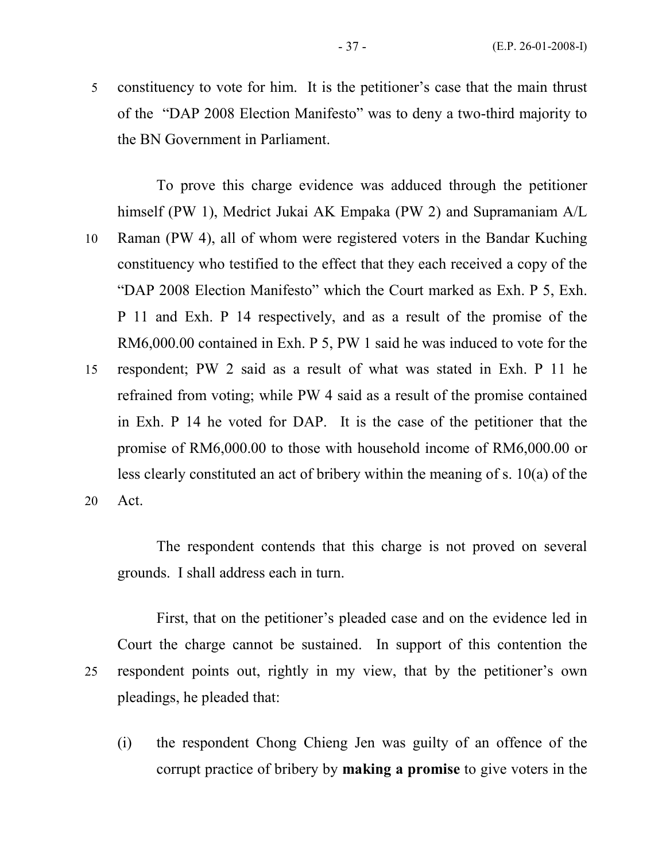5 constituency to vote for him. It is the petitioner's case that the main thrust of the "DAP 2008 Election Manifesto" was to deny a two-third majority to the BN Government in Parliament.

 To prove this charge evidence was adduced through the petitioner himself (PW 1), Medrict Jukai AK Empaka (PW 2) and Supramaniam A/L 10 Raman (PW 4), all of whom were registered voters in the Bandar Kuching constituency who testified to the effect that they each received a copy of the "DAP 2008 Election Manifesto" which the Court marked as Exh. P 5, Exh. P 11 and Exh. P 14 respectively, and as a result of the promise of the RM6,000.00 contained in Exh. P 5, PW 1 said he was induced to vote for the 15 respondent; PW 2 said as a result of what was stated in Exh. P 11 he refrained from voting; while PW 4 said as a result of the promise contained in Exh. P 14 he voted for DAP. It is the case of the petitioner that the promise of RM6,000.00 to those with household income of RM6,000.00 or less clearly constituted an act of bribery within the meaning of s. 10(a) of the 20 Act.

 The respondent contends that this charge is not proved on several grounds. I shall address each in turn.

 First, that on the petitioner's pleaded case and on the evidence led in Court the charge cannot be sustained. In support of this contention the 25 respondent points out, rightly in my view, that by the petitioner's own pleadings, he pleaded that:

(i) the respondent Chong Chieng Jen was guilty of an offence of the corrupt practice of bribery by making a promise to give voters in the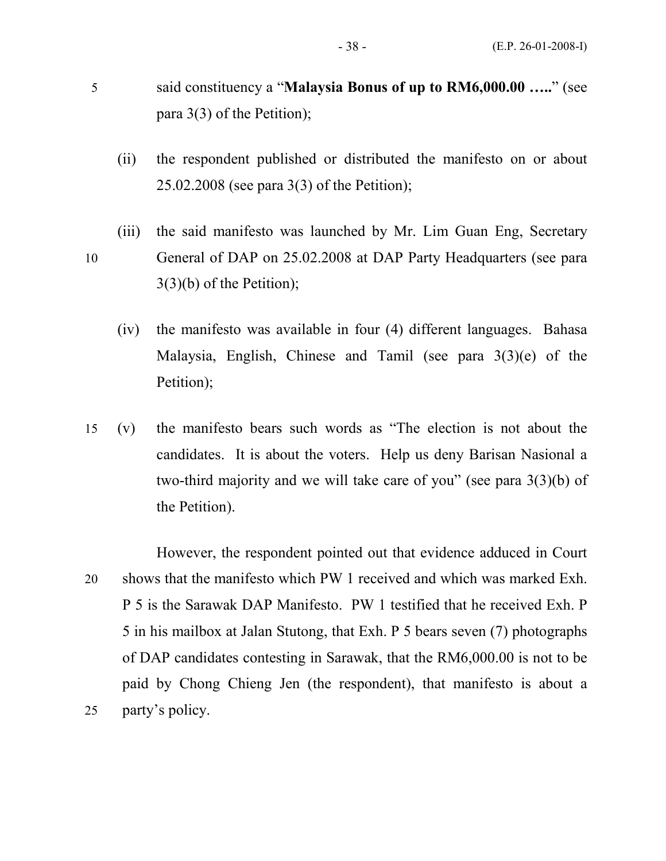- 5 said constituency a "Malaysia Bonus of up to RM6,000.00 ….." (see para 3(3) of the Petition);
	- (ii) the respondent published or distributed the manifesto on or about 25.02.2008 (see para 3(3) of the Petition);
- (iii) the said manifesto was launched by Mr. Lim Guan Eng, Secretary 10 General of DAP on 25.02.2008 at DAP Party Headquarters (see para 3(3)(b) of the Petition);
	- (iv) the manifesto was available in four (4) different languages. Bahasa Malaysia, English, Chinese and Tamil (see para 3(3)(e) of the Petition);
- 15 (v) the manifesto bears such words as "The election is not about the candidates. It is about the voters. Help us deny Barisan Nasional a two-third majority and we will take care of you" (see para 3(3)(b) of the Petition).
- However, the respondent pointed out that evidence adduced in Court 20 shows that the manifesto which PW 1 received and which was marked Exh. P 5 is the Sarawak DAP Manifesto. PW 1 testified that he received Exh. P 5 in his mailbox at Jalan Stutong, that Exh. P 5 bears seven (7) photographs of DAP candidates contesting in Sarawak, that the RM6,000.00 is not to be paid by Chong Chieng Jen (the respondent), that manifesto is about a 25 party's policy.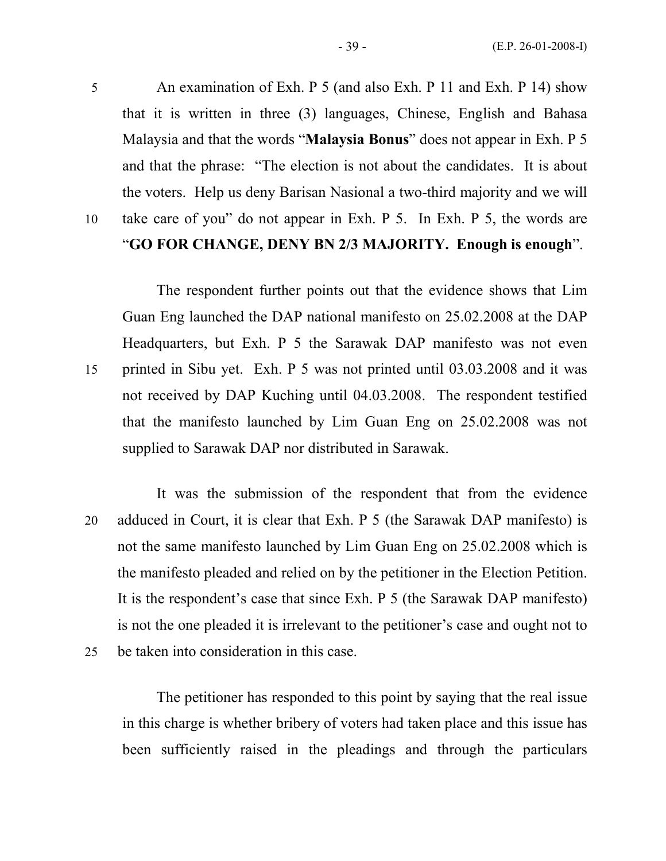5 An examination of Exh. P 5 (and also Exh. P 11 and Exh. P 14) show that it is written in three (3) languages, Chinese, English and Bahasa Malaysia and that the words "Malaysia Bonus" does not appear in Exh. P 5 and that the phrase: "The election is not about the candidates. It is about the voters. Help us deny Barisan Nasional a two-third majority and we will 10 take care of you" do not appear in Exh. P 5. In Exh. P 5, the words are

# "GO FOR CHANGE, DENY BN 2/3 MAJORITY. Enough is enough".

The respondent further points out that the evidence shows that Lim Guan Eng launched the DAP national manifesto on 25.02.2008 at the DAP Headquarters, but Exh. P 5 the Sarawak DAP manifesto was not even 15 printed in Sibu yet. Exh. P 5 was not printed until 03.03.2008 and it was not received by DAP Kuching until 04.03.2008. The respondent testified that the manifesto launched by Lim Guan Eng on 25.02.2008 was not supplied to Sarawak DAP nor distributed in Sarawak.

It was the submission of the respondent that from the evidence 20 adduced in Court, it is clear that Exh. P 5 (the Sarawak DAP manifesto) is not the same manifesto launched by Lim Guan Eng on 25.02.2008 which is the manifesto pleaded and relied on by the petitioner in the Election Petition. It is the respondent's case that since Exh. P 5 (the Sarawak DAP manifesto) is not the one pleaded it is irrelevant to the petitioner's case and ought not to 25 be taken into consideration in this case.

The petitioner has responded to this point by saying that the real issue in this charge is whether bribery of voters had taken place and this issue has been sufficiently raised in the pleadings and through the particulars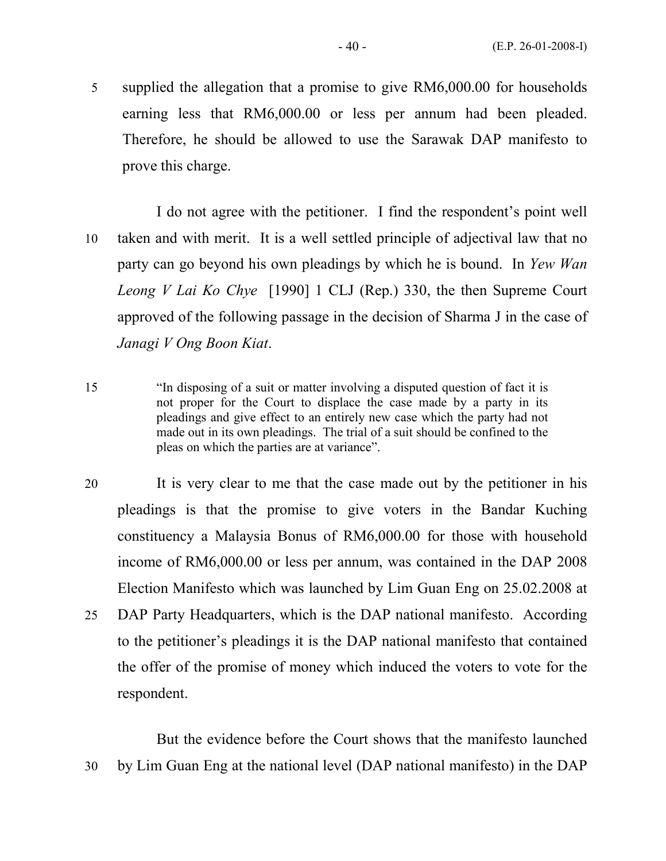5 supplied the allegation that a promise to give RM6,000.00 for households earning less that RM6,000.00 or less per annum had been pleaded. Therefore, he should be allowed to use the Sarawak DAP manifesto to prove this charge.

I do not agree with the petitioner. I find the respondent's point well 10 taken and with merit. It is a well settled principle of adjectival law that no party can go beyond his own pleadings by which he is bound. In Yew Wan Leong V Lai Ko Chye [1990] 1 CLJ (Rep.) 330, the then Supreme Court approved of the following passage in the decision of Sharma J in the case of Janagi V Ong Boon Kiat.

15 "In disposing of a suit or matter involving a disputed question of fact it is not proper for the Court to displace the case made by a party in its pleadings and give effect to an entirely new case which the party had not made out in its own pleadings. The trial of a suit should be confined to the pleas on which the parties are at variance".

- 20 It is very clear to me that the case made out by the petitioner in his pleadings is that the promise to give voters in the Bandar Kuching constituency a Malaysia Bonus of RM6,000.00 for those with household income of RM6,000.00 or less per annum, was contained in the DAP 2008 Election Manifesto which was launched by Lim Guan Eng on 25.02.2008 at 25 DAP Party Headquarters, which is the DAP national manifesto. According
- to the petitioner's pleadings it is the DAP national manifesto that contained the offer of the promise of money which induced the voters to vote for the respondent.

 But the evidence before the Court shows that the manifesto launched 30 by Lim Guan Eng at the national level (DAP national manifesto) in the DAP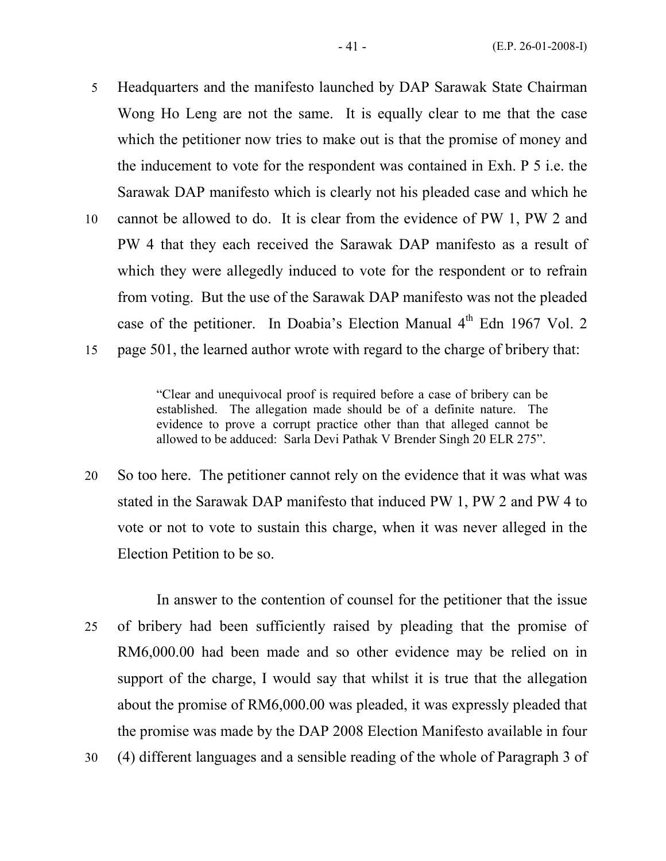- 5 Headquarters and the manifesto launched by DAP Sarawak State Chairman Wong Ho Leng are not the same. It is equally clear to me that the case which the petitioner now tries to make out is that the promise of money and the inducement to vote for the respondent was contained in Exh. P 5 i.e. the Sarawak DAP manifesto which is clearly not his pleaded case and which he
- 10 cannot be allowed to do. It is clear from the evidence of PW 1, PW 2 and PW 4 that they each received the Sarawak DAP manifesto as a result of which they were allegedly induced to vote for the respondent or to refrain from voting. But the use of the Sarawak DAP manifesto was not the pleaded case of the petitioner. In Doabia's Election Manual 4<sup>th</sup> Edn 1967 Vol. 2
- 15 page 501, the learned author wrote with regard to the charge of bribery that:

 "Clear and unequivocal proof is required before a case of bribery can be established. The allegation made should be of a definite nature. The evidence to prove a corrupt practice other than that alleged cannot be allowed to be adduced: Sarla Devi Pathak V Brender Singh 20 ELR 275".

- 20 So too here. The petitioner cannot rely on the evidence that it was what was stated in the Sarawak DAP manifesto that induced PW 1, PW 2 and PW 4 to vote or not to vote to sustain this charge, when it was never alleged in the Election Petition to be so.
- In answer to the contention of counsel for the petitioner that the issue 25 of bribery had been sufficiently raised by pleading that the promise of RM6,000.00 had been made and so other evidence may be relied on in support of the charge, I would say that whilst it is true that the allegation about the promise of RM6,000.00 was pleaded, it was expressly pleaded that the promise was made by the DAP 2008 Election Manifesto available in four 30 (4) different languages and a sensible reading of the whole of Paragraph 3 of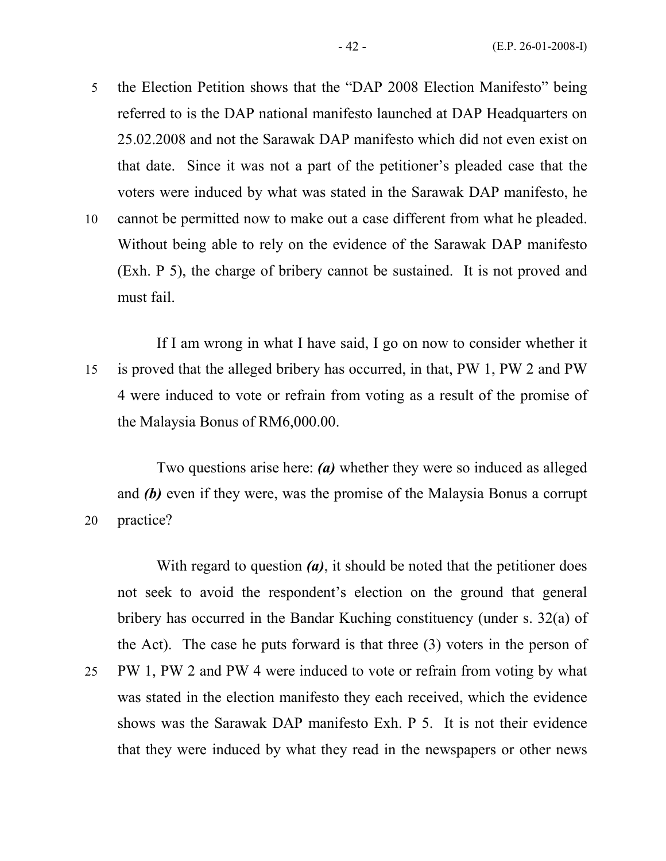5 the Election Petition shows that the "DAP 2008 Election Manifesto" being referred to is the DAP national manifesto launched at DAP Headquarters on 25.02.2008 and not the Sarawak DAP manifesto which did not even exist on that date. Since it was not a part of the petitioner's pleaded case that the voters were induced by what was stated in the Sarawak DAP manifesto, he

10 cannot be permitted now to make out a case different from what he pleaded. Without being able to rely on the evidence of the Sarawak DAP manifesto (Exh. P 5), the charge of bribery cannot be sustained. It is not proved and must fail.

 If I am wrong in what I have said, I go on now to consider whether it 15 is proved that the alleged bribery has occurred, in that, PW 1, PW 2 and PW 4 were induced to vote or refrain from voting as a result of the promise of the Malaysia Bonus of RM6,000.00.

 Two questions arise here: (a) whether they were so induced as alleged and (b) even if they were, was the promise of the Malaysia Bonus a corrupt 20 practice?

With regard to question  $(a)$ , it should be noted that the petitioner does not seek to avoid the respondent's election on the ground that general bribery has occurred in the Bandar Kuching constituency (under s. 32(a) of the Act). The case he puts forward is that three (3) voters in the person of

25 PW 1, PW 2 and PW 4 were induced to vote or refrain from voting by what was stated in the election manifesto they each received, which the evidence shows was the Sarawak DAP manifesto Exh. P 5. It is not their evidence that they were induced by what they read in the newspapers or other news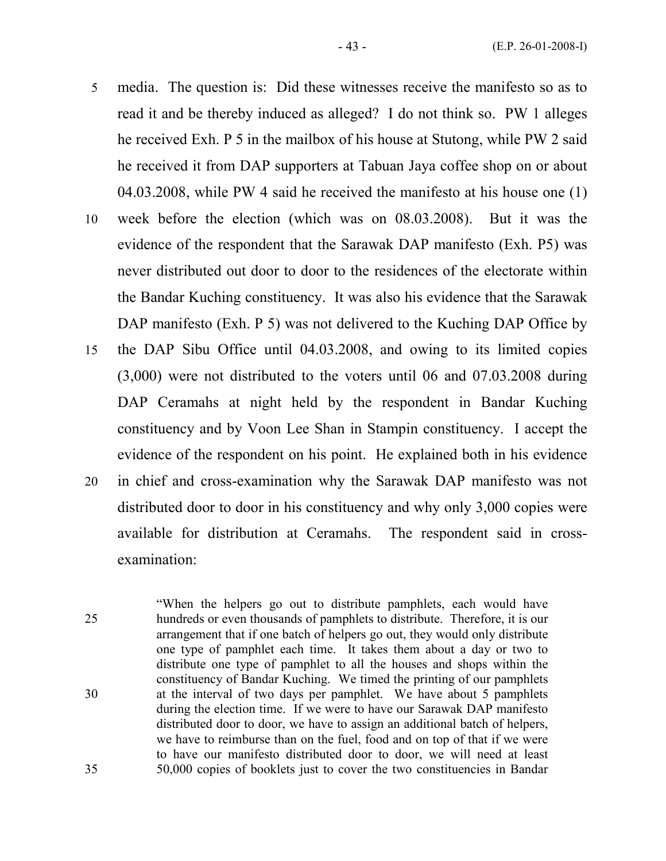- 5 media. The question is: Did these witnesses receive the manifesto so as to read it and be thereby induced as alleged? I do not think so. PW 1 alleges he received Exh. P 5 in the mailbox of his house at Stutong, while PW 2 said he received it from DAP supporters at Tabuan Jaya coffee shop on or about 04.03.2008, while PW 4 said he received the manifesto at his house one (1)
- 10 week before the election (which was on 08.03.2008). But it was the evidence of the respondent that the Sarawak DAP manifesto (Exh. P5) was never distributed out door to door to the residences of the electorate within the Bandar Kuching constituency. It was also his evidence that the Sarawak DAP manifesto (Exh. P 5) was not delivered to the Kuching DAP Office by
- 15 the DAP Sibu Office until 04.03.2008, and owing to its limited copies (3,000) were not distributed to the voters until 06 and 07.03.2008 during DAP Ceramahs at night held by the respondent in Bandar Kuching constituency and by Voon Lee Shan in Stampin constituency. I accept the evidence of the respondent on his point. He explained both in his evidence
- 20 in chief and cross-examination why the Sarawak DAP manifesto was not distributed door to door in his constituency and why only 3,000 copies were available for distribution at Ceramahs. The respondent said in crossexamination:
- "When the helpers go out to distribute pamphlets, each would have 25 hundreds or even thousands of pamphlets to distribute. Therefore, it is our arrangement that if one batch of helpers go out, they would only distribute one type of pamphlet each time. It takes them about a day or two to distribute one type of pamphlet to all the houses and shops within the constituency of Bandar Kuching. We timed the printing of our pamphlets 30 at the interval of two days per pamphlet. We have about 5 pamphlets during the election time. If we were to have our Sarawak DAP manifesto distributed door to door, we have to assign an additional batch of helpers, we have to reimburse than on the fuel, food and on top of that if we were to have our manifesto distributed door to door, we will need at least 35 50,000 copies of booklets just to cover the two constituencies in Bandar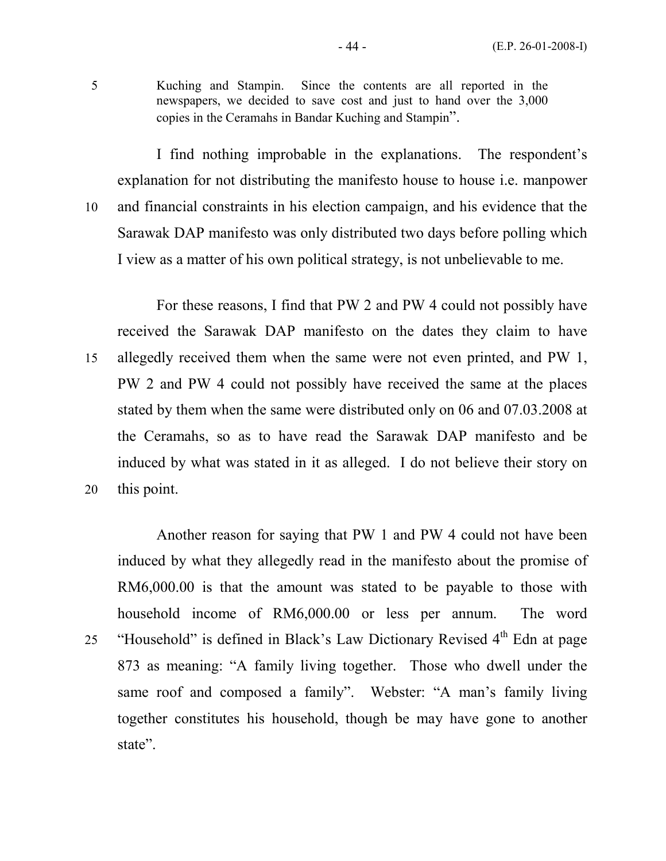5 Kuching and Stampin. Since the contents are all reported in the newspapers, we decided to save cost and just to hand over the 3,000 copies in the Ceramahs in Bandar Kuching and Stampin".

 I find nothing improbable in the explanations. The respondent's explanation for not distributing the manifesto house to house i.e. manpower 10 and financial constraints in his election campaign, and his evidence that the Sarawak DAP manifesto was only distributed two days before polling which I view as a matter of his own political strategy, is not unbelievable to me.

 For these reasons, I find that PW 2 and PW 4 could not possibly have received the Sarawak DAP manifesto on the dates they claim to have 15 allegedly received them when the same were not even printed, and PW 1, PW 2 and PW 4 could not possibly have received the same at the places stated by them when the same were distributed only on 06 and 07.03.2008 at the Ceramahs, so as to have read the Sarawak DAP manifesto and be induced by what was stated in it as alleged. I do not believe their story on 20 this point.

 Another reason for saying that PW 1 and PW 4 could not have been induced by what they allegedly read in the manifesto about the promise of RM6,000.00 is that the amount was stated to be payable to those with household income of RM6,000.00 or less per annum. The word 25 "Household" is defined in Black's Law Dictionary Revised 4<sup>th</sup> Edn at page 873 as meaning: "A family living together. Those who dwell under the same roof and composed a family". Webster: "A man's family living together constitutes his household, though be may have gone to another state".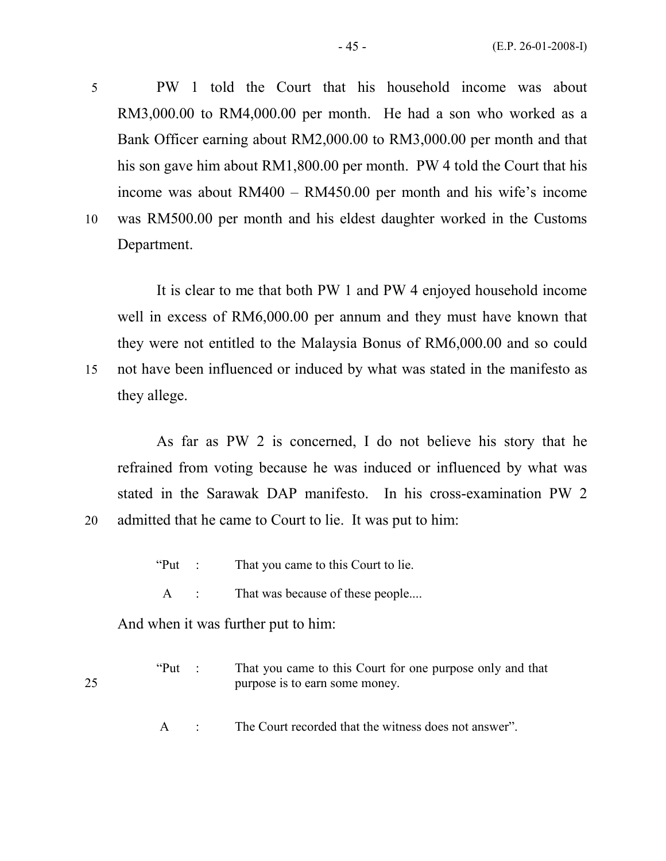5 PW 1 told the Court that his household income was about RM3,000.00 to RM4,000.00 per month. He had a son who worked as a Bank Officer earning about RM2,000.00 to RM3,000.00 per month and that his son gave him about RM1,800.00 per month. PW 4 told the Court that his income was about RM400 – RM450.00 per month and his wife's income 10 was RM500.00 per month and his eldest daughter worked in the Customs Department.

 It is clear to me that both PW 1 and PW 4 enjoyed household income well in excess of RM6,000.00 per annum and they must have known that they were not entitled to the Malaysia Bonus of RM6,000.00 and so could 15 not have been influenced or induced by what was stated in the manifesto as they allege.

 As far as PW 2 is concerned, I do not believe his story that he refrained from voting because he was induced or influenced by what was stated in the Sarawak DAP manifesto. In his cross-examination PW 2 20 admitted that he came to Court to lie. It was put to him:

- "Put : That you came to this Court to lie.
- A : That was because of these people....

And when it was further put to him:

"Put : That you came to this Court for one purpose only and that 25 purpose is to earn some money.

A : The Court recorded that the witness does not answer".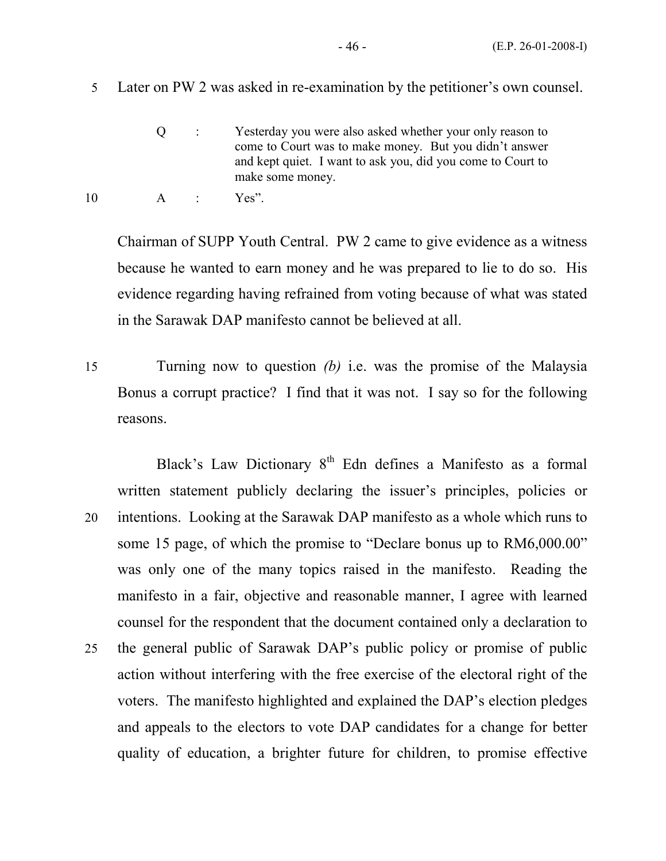Q : Yesterday you were also asked whether your only reason to come to Court was to make money. But you didn't answer and kept quiet. I want to ask you, did you come to Court to make some money.

Chairman of SUPP Youth Central. PW 2 came to give evidence as a witness because he wanted to earn money and he was prepared to lie to do so. His evidence regarding having refrained from voting because of what was stated in the Sarawak DAP manifesto cannot be believed at all.

15 Turning now to question (b) i.e. was the promise of the Malaysia Bonus a corrupt practice? I find that it was not. I say so for the following reasons.

Black's Law Dictionary  $8<sup>th</sup>$  Edn defines a Manifesto as a formal written statement publicly declaring the issuer's principles, policies or 20 intentions. Looking at the Sarawak DAP manifesto as a whole which runs to some 15 page, of which the promise to "Declare bonus up to RM6,000.00" was only one of the many topics raised in the manifesto. Reading the manifesto in a fair, objective and reasonable manner, I agree with learned counsel for the respondent that the document contained only a declaration to 25 the general public of Sarawak DAP's public policy or promise of public action without interfering with the free exercise of the electoral right of the voters. The manifesto highlighted and explained the DAP's election pledges and appeals to the electors to vote DAP candidates for a change for better quality of education, a brighter future for children, to promise effective

<sup>10</sup> A : Yes".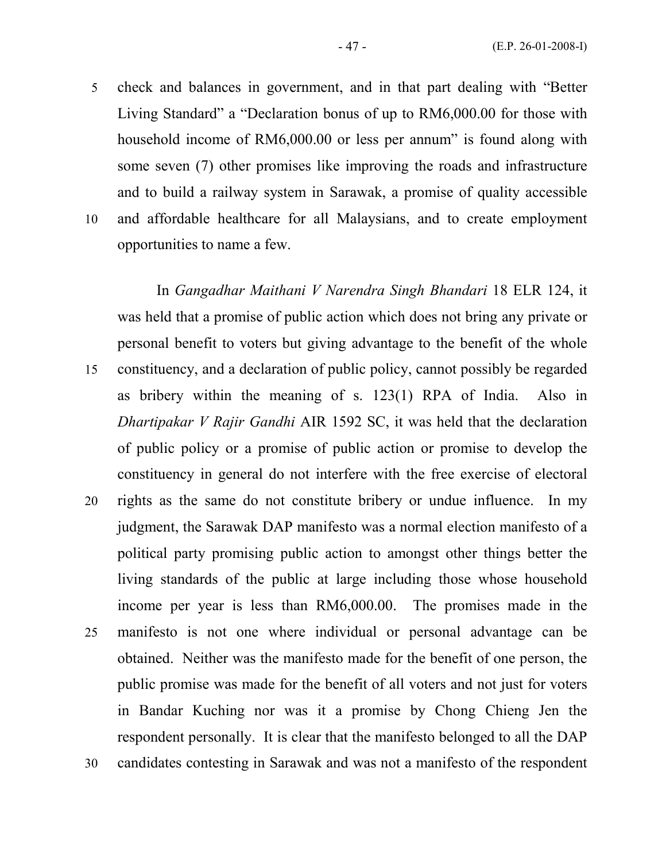5 check and balances in government, and in that part dealing with "Better Living Standard" a "Declaration bonus of up to RM6,000.00 for those with household income of RM6,000.00 or less per annum" is found along with some seven (7) other promises like improving the roads and infrastructure and to build a railway system in Sarawak, a promise of quality accessible 10 and affordable healthcare for all Malaysians, and to create employment opportunities to name a few.

 In Gangadhar Maithani V Narendra Singh Bhandari 18 ELR 124, it was held that a promise of public action which does not bring any private or personal benefit to voters but giving advantage to the benefit of the whole 15 constituency, and a declaration of public policy, cannot possibly be regarded as bribery within the meaning of s. 123(1) RPA of India. Also in Dhartipakar V Rajir Gandhi AIR 1592 SC, it was held that the declaration of public policy or a promise of public action or promise to develop the constituency in general do not interfere with the free exercise of electoral 20 rights as the same do not constitute bribery or undue influence. In my judgment, the Sarawak DAP manifesto was a normal election manifesto of a political party promising public action to amongst other things better the living standards of the public at large including those whose household income per year is less than RM6,000.00. The promises made in the 25 manifesto is not one where individual or personal advantage can be obtained. Neither was the manifesto made for the benefit of one person, the public promise was made for the benefit of all voters and not just for voters in Bandar Kuching nor was it a promise by Chong Chieng Jen the respondent personally. It is clear that the manifesto belonged to all the DAP 30 candidates contesting in Sarawak and was not a manifesto of the respondent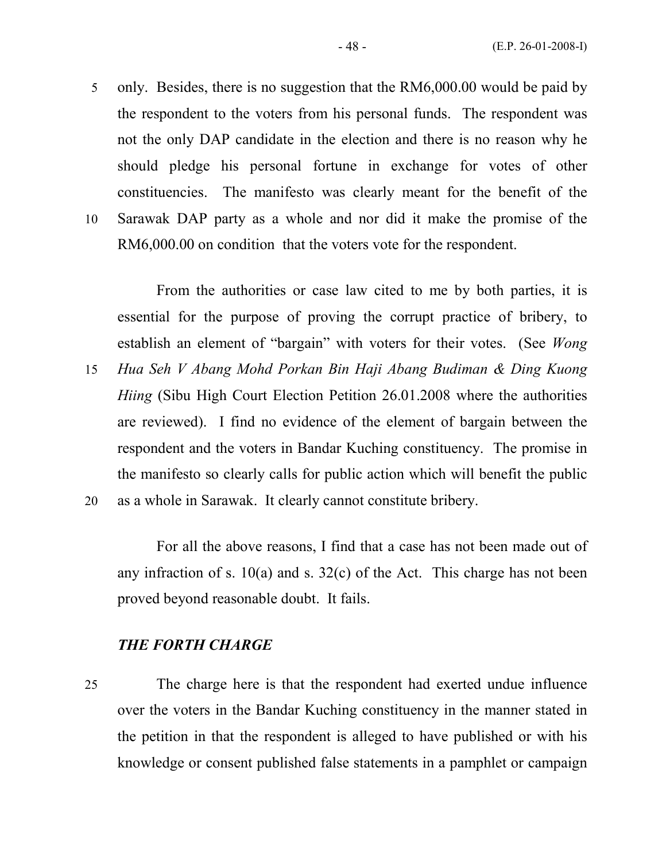5 only. Besides, there is no suggestion that the RM6,000.00 would be paid by the respondent to the voters from his personal funds. The respondent was not the only DAP candidate in the election and there is no reason why he should pledge his personal fortune in exchange for votes of other constituencies. The manifesto was clearly meant for the benefit of the 10 Sarawak DAP party as a whole and nor did it make the promise of the

RM6,000.00 on condition that the voters vote for the respondent.

 From the authorities or case law cited to me by both parties, it is essential for the purpose of proving the corrupt practice of bribery, to establish an element of "bargain" with voters for their votes. (See Wong

15 Hua Seh V Abang Mohd Porkan Bin Haji Abang Budiman & Ding Kuong Hiing (Sibu High Court Election Petition 26.01.2008 where the authorities are reviewed). I find no evidence of the element of bargain between the respondent and the voters in Bandar Kuching constituency. The promise in the manifesto so clearly calls for public action which will benefit the public 20 as a whole in Sarawak. It clearly cannot constitute bribery.

 For all the above reasons, I find that a case has not been made out of any infraction of s.  $10(a)$  and s.  $32(c)$  of the Act. This charge has not been proved beyond reasonable doubt. It fails.

#### THE FORTH CHARGE

25 The charge here is that the respondent had exerted undue influence over the voters in the Bandar Kuching constituency in the manner stated in the petition in that the respondent is alleged to have published or with his knowledge or consent published false statements in a pamphlet or campaign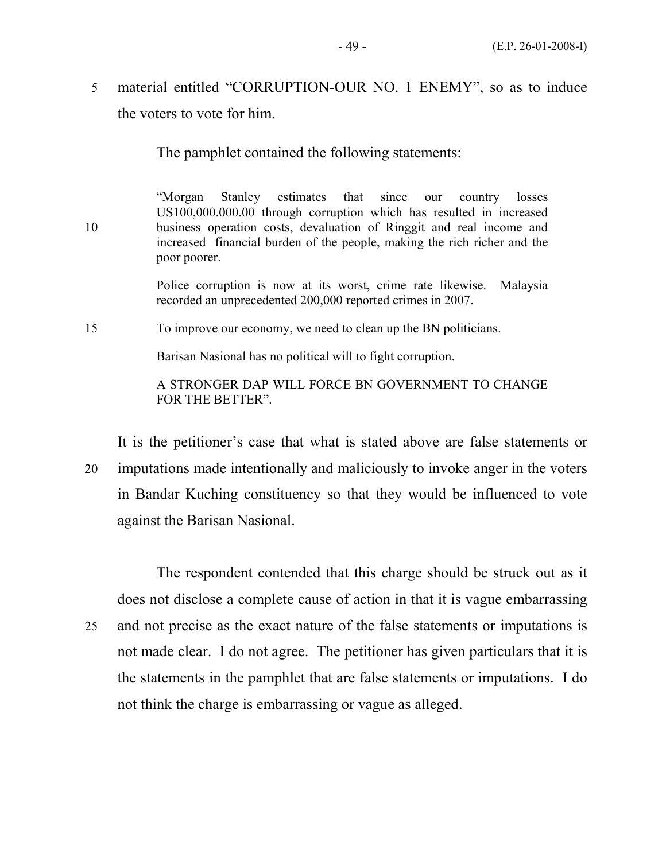5 material entitled "CORRUPTION-OUR NO. 1 ENEMY", so as to induce the voters to vote for him.

The pamphlet contained the following statements:

 "Morgan Stanley estimates that since our country losses US100,000.000.00 through corruption which has resulted in increased 10 business operation costs, devaluation of Ringgit and real income and increased financial burden of the people, making the rich richer and the poor poorer.

> Police corruption is now at its worst, crime rate likewise. Malaysia recorded an unprecedented 200,000 reported crimes in 2007.

15 To improve our economy, we need to clean up the BN politicians.

Barisan Nasional has no political will to fight corruption.

 A STRONGER DAP WILL FORCE BN GOVERNMENT TO CHANGE FOR THE BETTER".

It is the petitioner's case that what is stated above are false statements or

20 imputations made intentionally and maliciously to invoke anger in the voters in Bandar Kuching constituency so that they would be influenced to vote against the Barisan Nasional.

 The respondent contended that this charge should be struck out as it does not disclose a complete cause of action in that it is vague embarrassing 25 and not precise as the exact nature of the false statements or imputations is not made clear. I do not agree. The petitioner has given particulars that it is the statements in the pamphlet that are false statements or imputations. I do not think the charge is embarrassing or vague as alleged.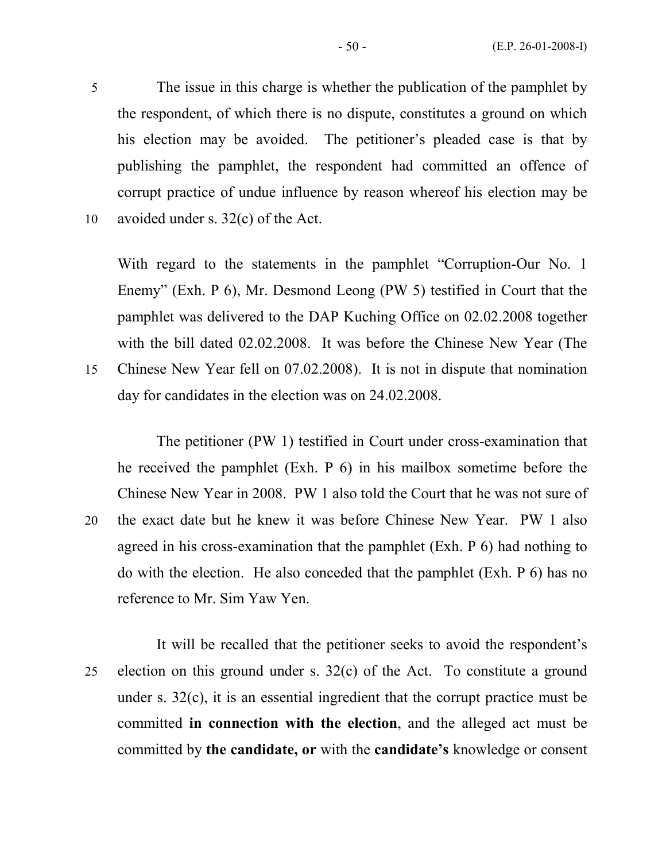5 The issue in this charge is whether the publication of the pamphlet by the respondent, of which there is no dispute, constitutes a ground on which his election may be avoided. The petitioner's pleaded case is that by publishing the pamphlet, the respondent had committed an offence of corrupt practice of undue influence by reason whereof his election may be 10 avoided under s. 32(c) of the Act.

With regard to the statements in the pamphlet "Corruption-Our No. 1 Enemy" (Exh. P 6), Mr. Desmond Leong (PW 5) testified in Court that the pamphlet was delivered to the DAP Kuching Office on 02.02.2008 together with the bill dated 02.02.2008. It was before the Chinese New Year (The 15 Chinese New Year fell on 07.02.2008). It is not in dispute that nomination day for candidates in the election was on 24.02.2008.

 The petitioner (PW 1) testified in Court under cross-examination that he received the pamphlet (Exh. P 6) in his mailbox sometime before the Chinese New Year in 2008. PW 1 also told the Court that he was not sure of 20 the exact date but he knew it was before Chinese New Year. PW 1 also agreed in his cross-examination that the pamphlet (Exh. P 6) had nothing to do with the election. He also conceded that the pamphlet (Exh. P 6) has no reference to Mr. Sim Yaw Yen.

 It will be recalled that the petitioner seeks to avoid the respondent's 25 election on this ground under s. 32(c) of the Act. To constitute a ground under s. 32(c), it is an essential ingredient that the corrupt practice must be committed in connection with the election, and the alleged act must be committed by the candidate, or with the candidate's knowledge or consent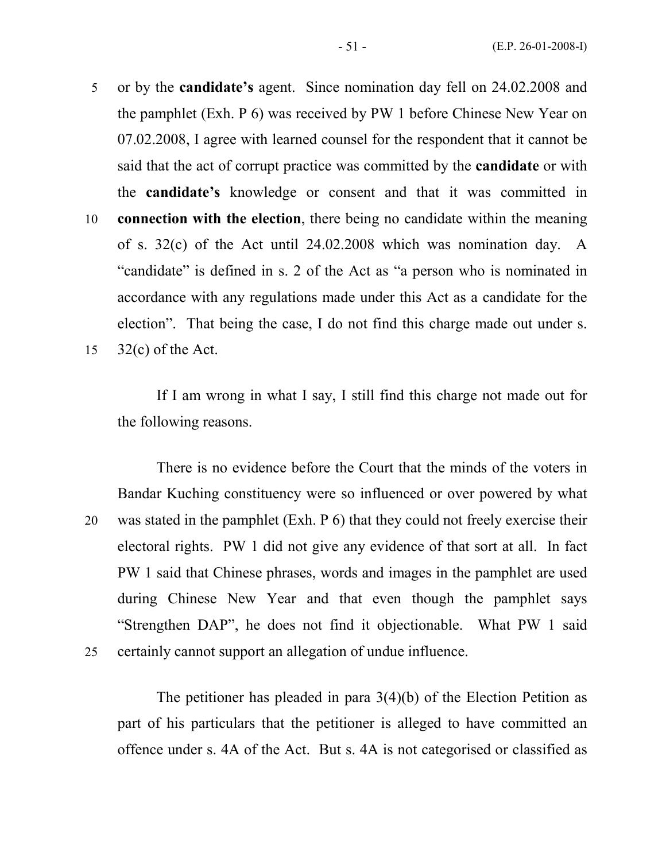- 5 or by the candidate's agent. Since nomination day fell on 24.02.2008 and the pamphlet (Exh. P 6) was received by PW 1 before Chinese New Year on 07.02.2008, I agree with learned counsel for the respondent that it cannot be said that the act of corrupt practice was committed by the candidate or with the candidate's knowledge or consent and that it was committed in
- 10 connection with the election, there being no candidate within the meaning of s. 32(c) of the Act until 24.02.2008 which was nomination day. A "candidate" is defined in s. 2 of the Act as "a person who is nominated in accordance with any regulations made under this Act as a candidate for the election". That being the case, I do not find this charge made out under s. 15 32(c) of the Act.

 If I am wrong in what I say, I still find this charge not made out for the following reasons.

 There is no evidence before the Court that the minds of the voters in Bandar Kuching constituency were so influenced or over powered by what 20 was stated in the pamphlet (Exh. P 6) that they could not freely exercise their electoral rights. PW 1 did not give any evidence of that sort at all. In fact PW 1 said that Chinese phrases, words and images in the pamphlet are used during Chinese New Year and that even though the pamphlet says "Strengthen DAP", he does not find it objectionable. What PW 1 said 25 certainly cannot support an allegation of undue influence.

The petitioner has pleaded in para 3(4)(b) of the Election Petition as part of his particulars that the petitioner is alleged to have committed an offence under s. 4A of the Act. But s. 4A is not categorised or classified as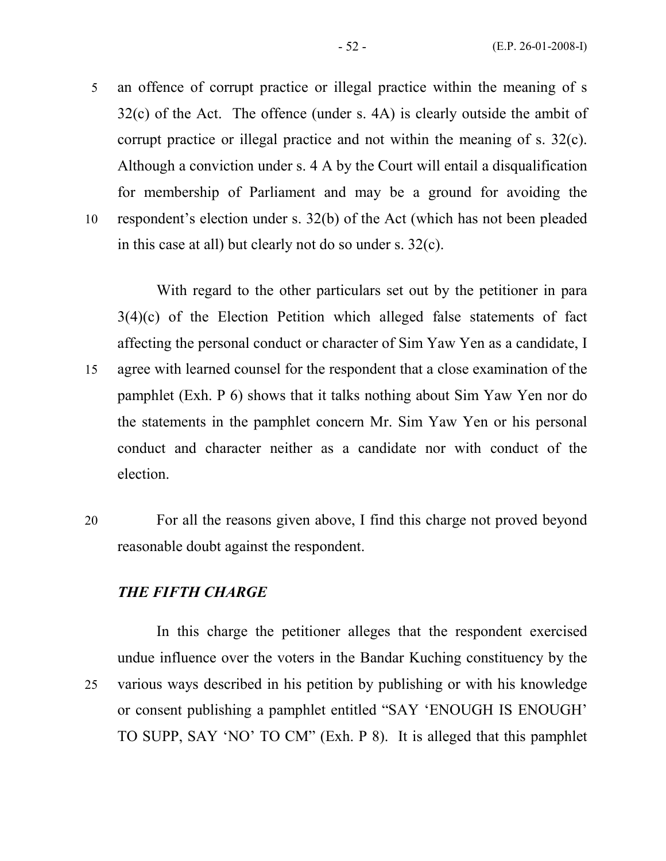5 an offence of corrupt practice or illegal practice within the meaning of s 32(c) of the Act. The offence (under s. 4A) is clearly outside the ambit of corrupt practice or illegal practice and not within the meaning of s. 32(c). Although a conviction under s. 4 A by the Court will entail a disqualification for membership of Parliament and may be a ground for avoiding the 10 respondent's election under s. 32(b) of the Act (which has not been pleaded

in this case at all) but clearly not do so under s. 32(c).

With regard to the other particulars set out by the petitioner in para  $3(4)(c)$  of the Election Petition which alleged false statements of fact affecting the personal conduct or character of Sim Yaw Yen as a candidate, I 15 agree with learned counsel for the respondent that a close examination of the pamphlet (Exh. P 6) shows that it talks nothing about Sim Yaw Yen nor do the statements in the pamphlet concern Mr. Sim Yaw Yen or his personal conduct and character neither as a candidate nor with conduct of the election.

20 For all the reasons given above, I find this charge not proved beyond reasonable doubt against the respondent.

#### THE FIFTH CHARGE

 In this charge the petitioner alleges that the respondent exercised undue influence over the voters in the Bandar Kuching constituency by the 25 various ways described in his petition by publishing or with his knowledge or consent publishing a pamphlet entitled "SAY 'ENOUGH IS ENOUGH' TO SUPP, SAY 'NO' TO CM" (Exh. P 8). It is alleged that this pamphlet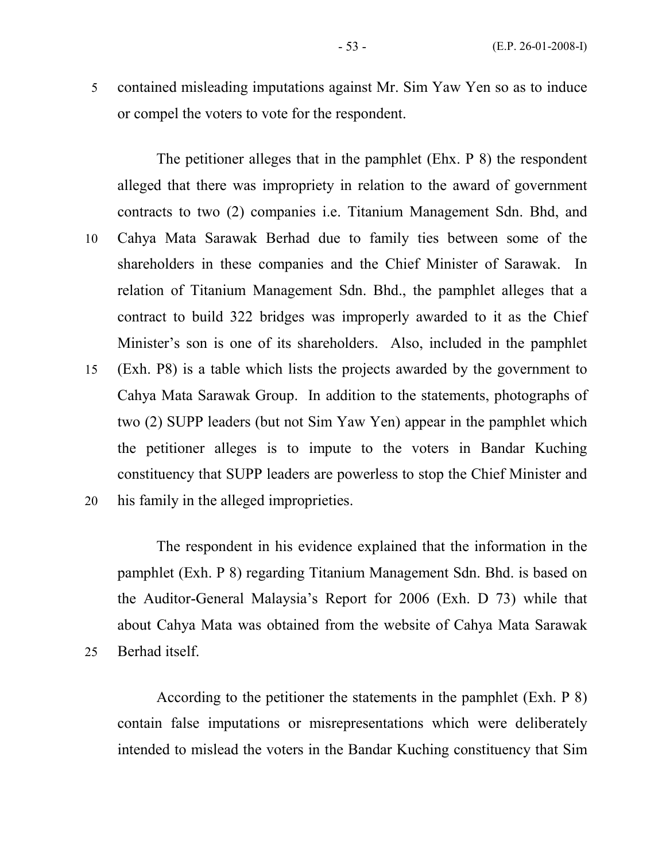5 contained misleading imputations against Mr. Sim Yaw Yen so as to induce or compel the voters to vote for the respondent.

 The petitioner alleges that in the pamphlet (Ehx. P 8) the respondent alleged that there was impropriety in relation to the award of government contracts to two (2) companies i.e. Titanium Management Sdn. Bhd, and 10 Cahya Mata Sarawak Berhad due to family ties between some of the shareholders in these companies and the Chief Minister of Sarawak. In relation of Titanium Management Sdn. Bhd., the pamphlet alleges that a contract to build 322 bridges was improperly awarded to it as the Chief Minister's son is one of its shareholders. Also, included in the pamphlet 15 (Exh. P8) is a table which lists the projects awarded by the government to Cahya Mata Sarawak Group. In addition to the statements, photographs of two (2) SUPP leaders (but not Sim Yaw Yen) appear in the pamphlet which the petitioner alleges is to impute to the voters in Bandar Kuching constituency that SUPP leaders are powerless to stop the Chief Minister and 20 his family in the alleged improprieties.

 The respondent in his evidence explained that the information in the pamphlet (Exh. P 8) regarding Titanium Management Sdn. Bhd. is based on the Auditor-General Malaysia's Report for 2006 (Exh. D 73) while that about Cahya Mata was obtained from the website of Cahya Mata Sarawak 25 Berhad itself.

 According to the petitioner the statements in the pamphlet (Exh. P 8) contain false imputations or misrepresentations which were deliberately intended to mislead the voters in the Bandar Kuching constituency that Sim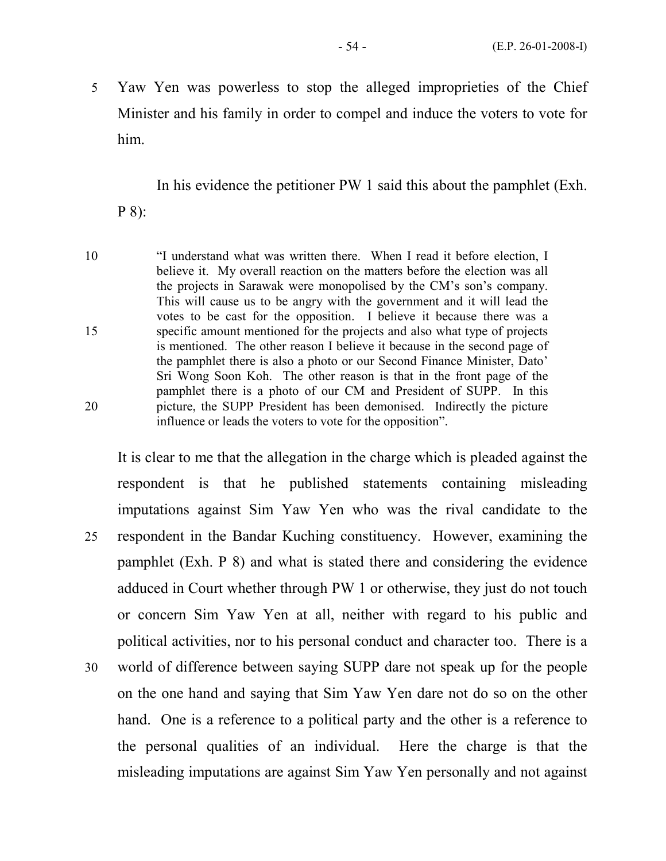5 Yaw Yen was powerless to stop the alleged improprieties of the Chief Minister and his family in order to compel and induce the voters to vote for him.

In his evidence the petitioner PW 1 said this about the pamphlet (Exh.

P 8):

10 "I understand what was written there. When I read it before election, I believe it. My overall reaction on the matters before the election was all the projects in Sarawak were monopolised by the CM's son's company. This will cause us to be angry with the government and it will lead the votes to be cast for the opposition. I believe it because there was a 15 specific amount mentioned for the projects and also what type of projects is mentioned. The other reason I believe it because in the second page of the pamphlet there is also a photo or our Second Finance Minister, Dato' Sri Wong Soon Koh. The other reason is that in the front page of the pamphlet there is a photo of our CM and President of SUPP. In this 20 picture, the SUPP President has been demonised. Indirectly the picture influence or leads the voters to vote for the opposition".

It is clear to me that the allegation in the charge which is pleaded against the respondent is that he published statements containing misleading imputations against Sim Yaw Yen who was the rival candidate to the 25 respondent in the Bandar Kuching constituency. However, examining the pamphlet (Exh. P 8) and what is stated there and considering the evidence adduced in Court whether through PW 1 or otherwise, they just do not touch or concern Sim Yaw Yen at all, neither with regard to his public and political activities, nor to his personal conduct and character too. There is a 30 world of difference between saying SUPP dare not speak up for the people on the one hand and saying that Sim Yaw Yen dare not do so on the other hand. One is a reference to a political party and the other is a reference to the personal qualities of an individual. Here the charge is that the misleading imputations are against Sim Yaw Yen personally and not against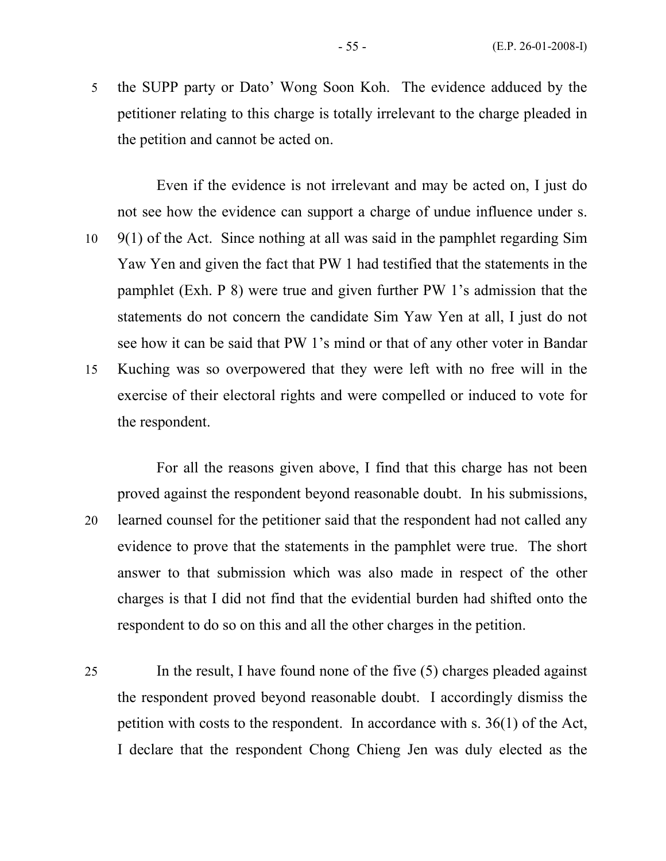5 the SUPP party or Dato' Wong Soon Koh. The evidence adduced by the petitioner relating to this charge is totally irrelevant to the charge pleaded in the petition and cannot be acted on.

 Even if the evidence is not irrelevant and may be acted on, I just do not see how the evidence can support a charge of undue influence under s. 10 9(1) of the Act. Since nothing at all was said in the pamphlet regarding Sim Yaw Yen and given the fact that PW 1 had testified that the statements in the pamphlet (Exh. P 8) were true and given further PW 1's admission that the statements do not concern the candidate Sim Yaw Yen at all, I just do not see how it can be said that PW 1's mind or that of any other voter in Bandar 15 Kuching was so overpowered that they were left with no free will in the exercise of their electoral rights and were compelled or induced to vote for the respondent.

 For all the reasons given above, I find that this charge has not been proved against the respondent beyond reasonable doubt. In his submissions, 20 learned counsel for the petitioner said that the respondent had not called any evidence to prove that the statements in the pamphlet were true. The short answer to that submission which was also made in respect of the other charges is that I did not find that the evidential burden had shifted onto the respondent to do so on this and all the other charges in the petition.

25 In the result, I have found none of the five (5) charges pleaded against the respondent proved beyond reasonable doubt. I accordingly dismiss the petition with costs to the respondent. In accordance with s. 36(1) of the Act, I declare that the respondent Chong Chieng Jen was duly elected as the